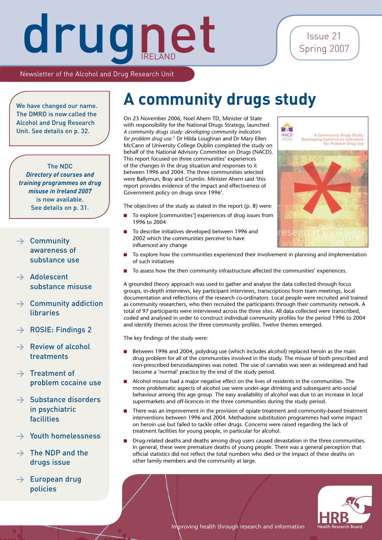Issue 21 Spring 2007

Newsletter of the Alcohol and Drug Research Unit

The DMRD is now called the Alcohol and Drug Research Unit. See details on p. 32.

### The NDC

*Directory of courses and training programmes on drug misuse in Ireland 2007* is now available. See details on p. 31.

### $\rightarrow$  Community awareness of substance use

- $\rightarrow$  Adolescent substance misuse
- $\rightarrow$  Community addiction libraries
- > ROSIE: Findings 2
- $\rightarrow$  Review of alcohol treatments
- $\rightarrow$  Treatment of problem cocaine use
- $\rightarrow$  Substance disorders in psychiatric facilities
- > Youth homelessness
- $\rightarrow$  The NDP and the drugs issue
- $\rightarrow$  European drug policies

### We have changed our name. **A community drugs study**

On 23 November 2006, Noel Ahern TD, Minister of State with responsibility for the National Drugs Strategy, launched *A community drugs study: developing community indicators for problem drug use.1* Dr Hilda Loughran and Dr Mary Ellen McCann of University College Dublin completed the study on behalf of the National Advisory Committee on Drugs (NACD). This report focused on three communities' experiences of the changes in the drug situation and responses to it between 1996 and 2004. The three communities selected were Ballymun, Bray and Crumlin. Minister Ahern said 'this report provides evidence of the impact and effectiveness of Government policy on drugs since 1996'.

The objectives of the study as stated in the report (p. 8) were:

- To explore [communities'] experiences of drug issues from 1996 to 2004 n
- To describe initiatives developed between 1996 and 2002 which the communities perceive to have influenced any change n
- To explore how the communities experienced their involvement in planning and implementation of such initiatives n
- To assess how the then community infrastructure affected the communities' experiences.

A grounded theory approach was used to gather and analyse the data collected through focus groups, in-depth interviews, key participant interviews, transcriptions from team meetings, local documentation and reflections of the research co-ordinators. Local people were recruited and trained as community researchers, who then recruited the participants through their community network. A total of 97 participants were interviewed across the three sites. All data collected were transcribed, coded and analysed in order to construct individual community profiles for the period 1996 to 2004 and identify themes across the three community profiles. Twelve themes emerged.

The key findings of the study were:

- Between 1996 and 2004, polydrug use (which includes alcohol) replaced heroin as the main drug problem for all of the communities involved in the study. The misuse of both prescribed and non-prescribed benzodiazepines was noted. The use of cannabis was seen as widespread and had become a 'normal' practice by the end of the study period. n
- Alcohol misuse had a major negative effect on the lives of residents in the communities. The more problematic aspects of alcohol use were under-age drinking and subsequent anti-social behaviour among this age group. The easy availability of alcohol was due to an increase in local supermarkets and off-licences in the three communities during the study period. n
- There was an improvement in the provision of opiate treatment and community-based treatment interventions between 1996 and 2004. Methadone substitution programmes had some impact on heroin use but failed to tackle other drugs. Concerns were raised regarding the lack of treatment facilities for young people, in particular for alcohol. n
- Drug-related deaths and deaths among drug users caused devastation in the three communities. In general, these were premature deaths of young people. There was a general perception that official statistics did not reflect the total numbers who died or the impact of these deaths on other family members and the community at large. n



Improving health through research and information

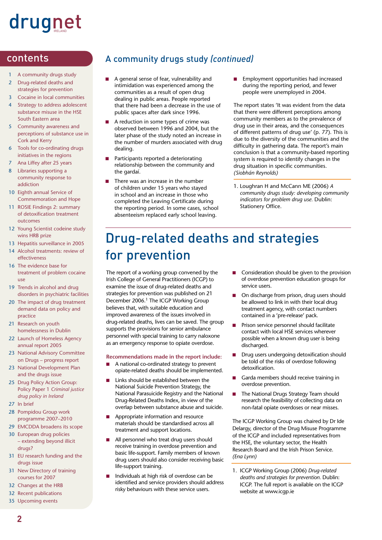- A community drugs study
- 2 Drug-related deaths and strategies for prevention
- 3 Cocaine in local communities
- 4 Strategy to address adolescent substance misuse in the HSE South Eastern area
- 5 Community awareness and perceptions of substance use in Cork and Kerry
- 6 Tools for co-ordinating drugs initiatives in the regions
- 7 Ana Liffey after 25 years
- 8 Libraries supporting a community response to addiction
- 10 Eighth annual Service of Commemoration and Hope
- 11 ROSIE Findings 2: summary of detoxification treatment outcomes
- 12 Young Scientist codeine study wins HRB prize
- 13 Hepatitis surveillance in 2005
- 14 Alcohol treatments: review of effectiveness
- 16 The evidence base for treatment of problem cocaine use
- 19 Trends in alcohol and drug disorders in psychiatric facilities
- 20 The impact of drug treatment demand data on policy and practice
- 21 Research on youth homelessness in Dublin
- 22 Launch of Homeless Agency annual report 2005
- 23 National Advisory Committee on Drugs – progress report
- 23 National Development Plan and the drugs issue
- 25 Drug Policy Action Group: Policy Paper 1 *Criminal justice drug policy in Ireland*
- 27 In brief
- 28 Pompidou Group work programme 2007–2010
- 29 EMCDDA broadens its scope
- 30 European drug policies – extending beyond illicit drugs?
- 31 EU research funding and the drugs issue
- 31 New Directory of training courses for 2007
- 32 Changes at the HRB
- 32 Recent publications
- 35 Upcoming events

### contents A community drugs study *(continued)*

- A general sense of fear, vulnerability and intimidation was experienced among the communities as a result of open drug dealing in public areas. People reported that there had been a decrease in the use of public spaces after dark since 1996. n
- A reduction in some types of crime was observed between 1996 and 2004, but the later phase of the study noted an increase in the number of murders associated with drug dealing. n
- Participants reported a deteriorating relationship between the community and the gardaí. n
- There was an increase in the number of children under 15 years who stayed in school and an increase in those who completed the Leaving Certificate during the reporting period. In some cases, school absenteeism replaced early school leaving. n

Employment opportunities had increased during the reporting period, and fewer people were unemployed in 2004. n

The report states 'It was evident from the data that there were different perceptions among community members as to the prevalence of drug use in their areas, and the consequences of different patterns of drug use' (p. 77). This is due to the diversity of the communities and the difficulty in gathering data. The report's main conclusion is that a community-based reporting system is required to identify changes in the drug situation in specific communities. *(Siobhán Reynolds)*

1. Loughran H and McCann ME (2006) *A community drugs study: developing community indicators for problem drug use.* Dublin: Stationery Office.

### Drug-related deaths and strategies for prevention

The report of a working group convened by the Irish College of General Practitioners (ICGP) to examine the issue of drug-related deaths and strategies for prevention was published on 21 December 2006.1 The ICGP Working Group believes that, with suitable education and improved awareness of the issues involved in drug-related deaths, lives can be saved. The group supports the provisions for senior ambulance personnel with special training to carry naloxone as an emergency response to opiate overdose.

### **Recommendations made in the report include:**

- A national co-ordinated strategy to prevent opiate-related deaths should be implemented. n
- Links should be established between the National Suicide Prevention Strategy, the National Parasuicide Registry and the National Drug-Related Deaths Index, in view of the overlap between substance abuse and suicide. n
- Appropriate information and resource materials should be standardised across all treatment and support locations. n
- All personnel who treat drug users should receive training in overdose prevention and basic life-support. Family members of known drug users should also consider receiving basic life-support training. n
- Individuals at high risk of overdose can be identified and service providers should address risky behaviours with these service users. n
- Consideration should be given to the provision of overdose prevention education groups for service users. n
- On discharge from prison, drug users should be allowed to link in with their local drug treatment agency, with contact numbers contained in a 'pre-release' pack. n
- Prison service personnel should facilitate contact with local HSE services wherever possible when a known drug user is being discharged. n
- Drug users undergoing detoxification should be told of the risks of overdose following detoxification. n
- Garda members should receive training in overdose prevention. n
- The National Drugs Strategy Team should research the feasibility of collecting data on non-fatal opiate overdoses or near misses. n

The ICGP Working Group was chaired by Dr Ide Delargy, director of the Drug Misuse Programme of the ICGP and included representatives from the HSE, the voluntary sector, the Health Research Board and the Irish Prison Service. *(Ena Lynn)*

1. ICGP Working Group (2006) *Drug-related deaths and strategies for prevention.* Dublin: ICGP. The full report is available on the ICGP website at www.icgp.ie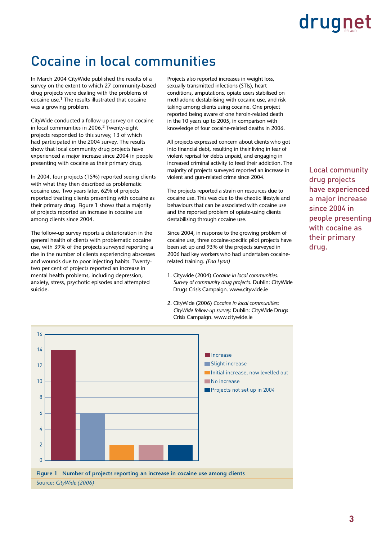### Cocaine in local communities

In March 2004 CityWide published the results of a survey on the extent to which 27 community-based drug projects were dealing with the problems of cocaine use.1 The results illustrated that cocaine was a growing problem.

CityWide conducted a follow-up survey on cocaine in local communities in 2006.<sup>2</sup> Twenty-eight projects responded to this survey, 13 of which had participated in the 2004 survey. The results show that local community drug projects have experienced a major increase since 2004 in people presenting with cocaine as their primary drug.

In 2004, four projects (15%) reported seeing clients with what they then described as problematic cocaine use. Two years later, 62% of projects reported treating clients presenting with cocaine as their primary drug. Figure 1 shows that a majority of projects reported an increase in cocaine use among clients since 2004.

The follow-up survey reports a deterioration in the general health of clients with problematic cocaine use, with 39% of the projects surveyed reporting a rise in the number of clients experiencing abscesses and wounds due to poor injecting habits. Twentytwo per cent of projects reported an increase in mental health problems, including depression, anxiety, stress, psychotic episodes and attempted suicide.

Projects also reported increases in weight loss, sexually transmitted infections (STIs), heart conditions, amputations, opiate users stabilised on methadone destabilising with cocaine use, and risk taking among clients using cocaine. One project reported being aware of one heroin-related death in the 10 years up to 2005, in comparison with knowledge of four cocaine-related deaths in 2006.

All projects expressed concern about clients who got into financial debt, resulting in their living in fear of violent reprisal for debts unpaid, and engaging in increased criminal activity to feed their addiction. The majority of projects surveyed reported an increase in violent and gun-related crime since 2004.

The projects reported a strain on resources due to cocaine use. This was due to the chaotic lifestyle and behaviours that can be associated with cocaine use and the reported problem of opiate-using clients destabilising through cocaine use.

Since 2004, in response to the growing problem of cocaine use, three cocaine-specific pilot projects have been set up and 93% of the projects surveyed in 2006 had key workers who had undertaken cocainerelated training. *(Ena Lynn)* 

- 1. Citywide (2004) *Cocaine in local communities: Survey of community drug projects.* Dublin: CityWide Drugs Crisis Campaign. www.citywide.ie
- 2. CityWide (2006) *Cocaine in local communities: CityWide follow-up survey.* Dublin: CityWide Drugs Crisis Campaign. www.citywide.ie

Local community drug projects have experienced a major increase since 2004 in people presenting with cocaine as their primary drug.

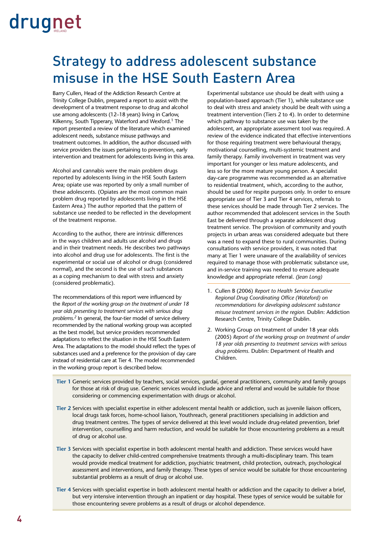### Strategy to address adolescent substance misuse in the HSE South Eastern Area

Barry Cullen, Head of the Addiction Research Centre at Trinity College Dublin, prepared a report to assist with the development of a treatment response to drug and alcohol use among adolescents (12–18 years) living in Carlow, Kilkenny, South Tipperary, Waterford and Wexford.<sup>1</sup> The report presented a review of the literature which examined adolescent needs, substance misuse pathways and treatment outcomes. In addition, the author discussed with service providers the issues pertaining to prevention, early intervention and treatment for adolescents living in this area.

Alcohol and cannabis were the main problem drugs reported by adolescents living in the HSE South Eastern Area; opiate use was reported by only a small number of these adolescents. (Opiates are the most common main problem drug reported by adolescents living in the HSE Eastern Area.) The author reported that the pattern of substance use needed to be reflected in the development of the treatment response.

According to the author, there are intrinsic differences in the ways children and adults use alcohol and drugs and in their treatment needs. He describes two pathways into alcohol and drug use for adolescents. The first is the experimental or social use of alcohol or drugs (considered normal), and the second is the use of such substances as a coping mechanism to deal with stress and anxiety (considered problematic).

The recommendations of this report were influenced by the *Report of the working group on the treatment of under 18 year olds presenting to treatment services with serious drug problems.2* In general, the four-tier model of service delivery recommended by the national working group was accepted as the best model, but service providers recommended adaptations to reflect the situation in the HSE South Eastern Area. The adaptations to the model should reflect the types of substances used and a preference for the provision of day care instead of residential care at Tier 4. The model recommended in the working group report is described below.

Experimental substance use should be dealt with using a population-based approach (Tier 1), while substance use to deal with stress and anxiety should be dealt with using a treatment intervention (Tiers 2 to 4). In order to determine which pathway to substance use was taken by the adolescent, an appropriate assessment tool was required. A review of the evidence indicated that effective interventions for those requiring treatment were behavioural therapy, motivational counselling, multi-systemic treatment and family therapy. Family involvement in treatment was very important for younger or less mature adolescents, and less so for the more mature young person. A specialist day-care programme was recommended as an alternative to residential treatment, which, according to the author, should be used for respite purposes only. In order to ensure appropriate use of Tier 3 and Tier 4 services, referrals to these services should be made through Tier 2 services. The author recommended that adolescent services in the South East be delivered through a separate adolescent drug treatment service. The provision of community and youth projects in urban areas was considered adequate but there was a need to expand these to rural communities. During consultations with service providers, it was noted that many at Tier 1 were unaware of the availability of services required to manage those with problematic substance use, and in-service training was needed to ensure adequate knowledge and appropriate referral. *(Jean Long)*

- 1. Cullen B (2006) *Report to Health Service Executive Regional Drug Coordinating Office (Wateford) on recommendations for developing adolescent substance misuse treatment services in the region.* Dublin: Addiction Research Centre, Trinity College Dublin.
- 2. Working Group on treatment of under 18 year olds (2005) *Report of the working group on treatment of under 18 year olds presenting to treatment services with serious drug problems.* Dublin: Department of Health and Children.
- **Tier 1** Generic services provided by teachers, social services, gardaí, general practitioners, community and family groups for those at risk of drug use. Generic services would include advice and referral and would be suitable for those considering or commencing experimentation with drugs or alcohol.
- **Tier 2** Services with specialist expertise in either adolescent mental health or addiction, such as juvenile liaison officers, local drugs task forces, home-school liaison, Youthreach, general practitioners specialising in addiction and drug treatment centres. The types of service delivered at this level would include drug-related prevention, brief intervention, counselling and harm reduction, and would be suitable for those encountering problems as a result of drug or alcohol use.
- **Tier 3** Services with specialist expertise in both adolescent mental health and addiction. These services would have the capacity to deliver child-centred comprehensive treatments through a multi-disciplinary team. This team would provide medical treatment for addiction, psychiatric treatment, child protection, outreach, psychological assessment and interventions, and family therapy. These types of service would be suitable for those encountering substantial problems as a result of drug or alcohol use.
- **Tier 4** Services with specialist expertise in both adolescent mental health or addiction and the capacity to deliver a brief, but very intensive intervention through an inpatient or day hospital. These types of service would be suitable for those encountering severe problems as a result of drugs or alcohol dependence.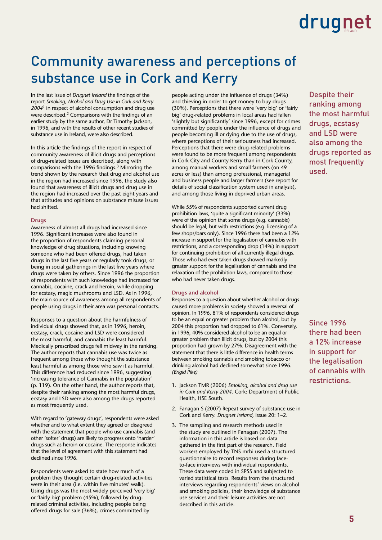### Community awareness and perceptions of substance use in Cork and Kerry

In the last issue of *Drugnet Ireland* the findings of the report *Smoking, Alcohol and Drug Use in Cork and Kerry 20041* in respect of alcohol consumption and drug use were described.2 Comparisons with the findings of an earlier study by the same author, Dr Timothy Jackson, in 1996, and with the results of other recent studies of substance use in Ireland, were also described.

In this article the findings of the report in respect of community awareness of illicit drugs and perceptions of drug-related issues are described, along with comparisons with the 1996 findings.3 Mirroring the trend shown by the research that drug and alcohol use in the region had increased since 1996, the study also found that awareness of illicit drugs and drug use in the region had increased over the past eight years and that attitudes and opinions on substance misuse issues had shifted.

#### **Drugs**

Awareness of almost all drugs had increased since 1996. Significant increases were also found in the proportion of respondents claiming personal knowledge of drug situations, including knowing someone who had been offered drugs, had taken drugs in the last five years or regularly took drugs, or being in social gatherings in the last five years where drugs were taken by others. Since 1996 the proportion of respondents with such knowledge had increased for cannabis, cocaine, crack and heroin, while dropping for ecstasy, magic mushrooms and LSD. As in 1996, the main source of awareness among all respondents of people using drugs in their area was personal contacts.

Responses to a question about the harmfulness of individual drugs showed that, as in 1996, heroin, ecstasy, crack, cocaine and LSD were considered the most harmful, and cannabis the least harmful. Medically prescribed drugs fell midway in the ranking. The author reports that cannabis use was twice as frequent among those who thought the substance least harmful as among those who saw it as harmful. This difference had reduced since 1996, suggesting 'increasing tolerance of Cannabis in the population' (p. 119). On the other hand, the author reports that, despite their ranking among the most harmful drugs, ecstasy and LSD were also among the drugs reported as most frequently used.

With regard to 'gateway drugs', respondents were asked whether and to what extent they agreed or disagreed with the statement that people who use cannabis (and other 'softer' drugs) are likely to progress onto 'harder' drugs such as heroin or cocaine. The response indicates that the level of agreement with this statement had declined since 1996.

Respondents were asked to state how much of a problem they thought certain drug-related activities were in their area (i.e. within five minutes' walk). Using drugs was the most widely perceived 'very big' or 'fairly big' problem (45%), followed by drugrelated criminal activities, including people being offered drugs for sale (36%), crimes committed by

people acting under the influence of drugs (34%) and thieving in order to get money to buy drugs (30%). Perceptions that there were 'very big' or 'fairly big' drug-related problems in local areas had fallen 'slightly but significantly' since 1996, except for crimes committed by people under the influence of drugs and people becoming ill or dying due to the use of drugs, where perceptions of their seriousness had increased. Perceptions that there were drug-related problems were found to be more frequent among respondents in Cork City and County Kerry than in Cork County, among manual workers and small farmers (on 49 acres or less) than among professional, managerial and business people and larger farmers (see report for details of social classification system used in analysis), and among those living in deprived urban areas.

While 55% of respondents supported current drug prohibition laws, 'quite a significant minority' (33%) were of the opinion that some drugs (e.g. cannabis) should be legal, but with restrictions (e.g. licensing of a few shops/bars only). Since 1996 there had been a 12% increase in support for the legalisation of cannabis with restrictions, and a corresponding drop (14%) in support for continuing prohibition of all currently illegal drugs. Those who had ever taken drugs showed markedly greater support for the legalisation of cannabis and the relaxation of the prohibition laws, compared to those who had never taken drugs.

#### **Drugs and alcohol**

Responses to a question about whether alcohol or drugs caused more problems in society showed a reversal of opinion. In 1996, 81% of respondents considered drugs to be an equal or greater problem than alcohol, but by 2004 this proportion had dropped to 61%. Conversely, in 1996, 40% considered alcohol to be an equal or greater problem than illicit drugs, but by 2004 this proportion had grown by 27%. Disagreement with the statement that there is little difference in health terms between smoking cannabis and smoking tobacco or drinking alcohol had declined somewhat since 1996. *(Brigid Pike)*

- 1. Jackson TMR (2006) *Smoking, alcohol and drug use in Cork and Kerry 2004.* Cork: Department of Public Health, HSE South.
- 2. Fanagan S (2007) Repeat survey of substance use in Cork and Kerry. *Drugnet Ireland,* Issue 20: 1–2.
- 3. The sampling and research methods used in the study are outlined in Fanagan (2007). The information in this article is based on data gathered in the first part of the research. Field workers employed by TNS mrbi used a structured questionnaire to record responses during faceto-face interviews with individual respondents. These data were coded in SPSS and subjected to varied statistical tests. Results from the structured interviews regarding respondents' views on alcohol and smoking policies, their knowledge of substance use services and their leisure activities are not described in this article.

Despite their ranking among the most harmful drugs, ecstasy and LSD were also among the drugs reported as most frequently used.

Since 1996 there had been a 12% increase in support for the legalisation of cannabis with restrictions.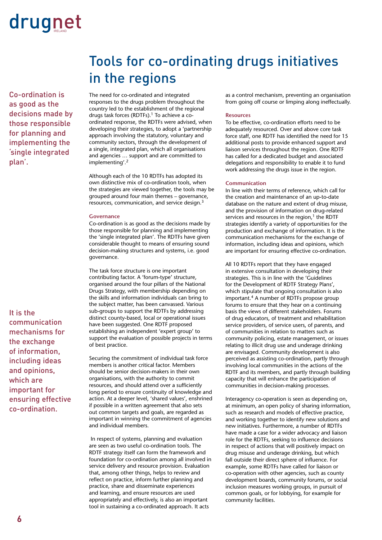Co-ordination is as good as the decisions made by those responsible for planning and implementing the 'single integrated plan'.

It is the communication mechanisms for the exchange of information, including ideas and opinions, which are important for ensuring effective co-ordination.

### Tools for co-ordinating drugs initiatives in the regions

The need for co-ordinated and integrated responses to the drugs problem throughout the country led to the establishment of the regional drugs task forces (RDTFs).1 To achieve a coordinated response, the RDTFs were advised, when developing their strategies, to adopt a 'partnership approach involving the statutory, voluntary and community sectors, through the development of a single, integrated plan, which all organisations and agencies … support and are committed to implementing'.2

Although each of the 10 RDTFs has adopted its own distinctive mix of co-ordination tools, when the strategies are viewed together, the tools may be grouped around four main themes – governance, resources, communication, and service design.3

#### **Governance**

Co-ordination is as good as the decisions made by those responsible for planning and implementing the 'single integrated plan'. The RDTFs have given considerable thought to means of ensuring sound decision-making structures and systems, i.e. good governance.

The task force structure is one important contributing factor. A 'forum-type' structure, organised around the four pillars of the National Drugs Strategy, with membership depending on the skills and information individuals can bring to the subject matter, has been canvassed. Various sub-groups to support the RDTFs by addressing distinct county-based, local or operational issues have been suggested. One RDTF proposed establishing an independent 'expert group' to support the evaluation of possible projects in terms of best practice.

Securing the commitment of individual task force members is another critical factor. Members should be senior decision-makers in their own organisations, with the authority to commit resources, and should attend over a sufficiently long period to ensure continuity of knowledge and action. At a deeper level, 'shared values', enshrined if possible in a written agreement that also sets out common targets and goals, are regarded as important in winning the commitment of agencies and individual members.

 In respect of systems, planning and evaluation are seen as two useful co-ordination tools. The RDTF strategy itself can form the framework and foundation for co-ordination among all involved in service delivery and resource provision. Evaluation that, among other things, helps to review and reflect on practice, inform further planning and practice, share and disseminate experiences and learning, and ensure resources are used appropriately and effectively, is also an important tool in sustaining a co-ordinated approach. It acts

as a control mechanism, preventing an organisation from going off course or limping along ineffectually.

#### **Resources**

To be effective, co-ordination efforts need to be adequately resourced. Over and above core task force staff, one RDTF has identified the need for 15 additional posts to provide enhanced support and liaison services throughout the region. One RDTF has called for a dedicated budget and associated delegations and responsibility to enable it to fund work addressing the drugs issue in the region.

#### **Communication**

In line with their terms of reference, which call for the creation and maintenance of an up-to-date database on the nature and extent of drug misuse, and the provision of information on drug-related services and resources in the region, $1$  the RDTF strategies identify a variety of opportunities for the production and exchange of information. It is the communication mechanisms for the exchange of information, including ideas and opinions, which are important for ensuring effective co-ordination.

All 10 RDTFs report that they have engaged in extensive consultation in developing their strategies. This is in line with the 'Guidelines for the Development of RDTF Strategy Plans', which stipulate that ongoing consultation is also important.4 A number of RDTFs propose group forums to ensure that they hear on a continuing basis the views of different stakeholders. Forums of drug educators, of treatment and rehabilitation service providers, of service users, of parents, and of communities in relation to matters such as community policing, estate management, or issues relating to illicit drug use and underage drinking are envisaged. Community development is also perceived as assisting co-ordination, partly through involving local communities in the actions of the RDTF and its members, and partly through building capacity that will enhance the participation of communities in decision-making processes.

Interagency co-operation is seen as depending on, at minimum, an open policy of sharing information, such as research and models of effective practice, and working together to identify new solutions and new initiatives. Furthermore, a number of RDTFs have made a case for a wider advocacy and liaison role for the RDTFs, seeking to influence decisions in respect of actions that will positively impact on drug misuse and underage drinking, but which fall outside their direct sphere of influence. For example, some RDTFs have called for liaison or co-operation with other agencies, such as county development boards, community forums, or social inclusion measures working groups, in pursuit of common goals, or for lobbying, for example for community facilities.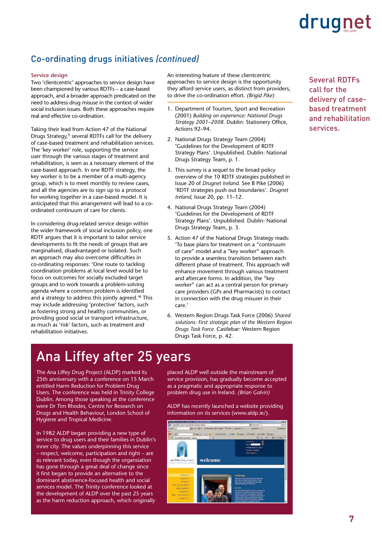### Co-ordinating drugs initiatives *(continued)*

#### **Service design**

Two 'clientcentric' approaches to service design have been championed by various RDTFs – a case-based approach, and a broader approach predicated on the need to address drug misuse in the context of wider social inclusion issues. Both these approaches require real and effective co-ordination.

Taking their lead from Action 47 of the National Drugs Strategy,<sup>5</sup> several RDTFs call for the delivery of case-based treatment and rehabilitation services. The 'key worker' role, supporting the service user through the various stages of treatment and rehabilitation, is seen as a necessary element of the case-based approach. In one RDTF strategy, the key worker is to be a member of a multi-agency group, which is to meet monthly to review cases, and all the agencies are to sign up to a protocol for working together in a case-based model. It is anticipated that this arrangement will lead to a coordinated continuum of care for clients.

In considering drug-related service design within the wider framework of social inclusion policy, one RDTF argues that it is important to tailor service developments to fit the needs of groups that are marginalised, disadvantaged or isolated. Such an approach may also overcome difficulties in co-ordinating responses: 'One route to tackling coordination problems at local level would be to focus on outcomes for socially excluded target groups and to work towards a problem-solving agenda where a common problem is identified and a strategy to address this jointly agreed.'6 This may include addressing 'protective' factors, such as fostering strong and healthy communities, or providing good social or transport infrastructure, as much as 'risk' factors, such as treatment and rehabilitation initiatives.

An interesting feature of these clientcentric approaches to service design is the opportunity they afford service users, as distinct from providers, to drive the co-ordination effort. *(Brigid Pike)*

- 1. Department of Tourism, Sport and Recreation (2001) *Building on experience: National Drugs Strategy 2001–2008.* Dublin: Stationery Office, Actions 92–94.
- 2. National Drugs Strategy Team (2004) 'Guidelines for the Development of RDTF Strategy Plans'. Unpublished. Dublin: National Drugs Strategy Team, p. 1.
- 3. This survey is a sequel to the broad policy overview of the 10 RDTF strategies published in Issue 20 of *Drugnet Ireland.* See B Pike (2006) 'RDTF strategies push out boundaries'. *Drugnet Ireland,* Issue 20, pp. 11–12.
- 4. National Drugs Strategy Team (2004) 'Guidelines for the Development of RDTF Strategy Plans'. Unpublished. Dublin: National Drugs Strategy Team, p. 3.
- 5. Action 47 of the National Drugs Strategy reads: 'To base plans for treatment on a "continuum of care" model and a "key worker" approach to provide a seamless transition between each different phase of treatment. This approach will enhance movement through various treatment and aftercare forms. In addition, the "key worker" can act as a central person for primary care providers (GPs and Pharmacists) to contact in connection with the drug misuser in their care.'
- 6. Western Region Drugs Task Force (2006) *Shared solutions: First strategic plan of the Western Region Drugs Task Force.* Castlebar: Western Region Drugs Task Force, p. 42.

### Ana Liffey after 25 years

The Ana Liffey Drug Project (ALDP) marked its 25th anniversary with a conference on 15 March entitled Harm Reduction for Problem Drug Users. The conference was held in Trinity College Dublin. Among those speaking at the conference were Dr Tim Rhodes, Centre for Research on Drugs and Health Behaviour, London School of Hygiene and Tropical Medicine.

In 1982 ALDP began providing a new type of service to drug users and their families in Dublin's inner city. The values underpinning this service – respect, welcome, participation and right – are as relevant today, even though the organsiation has gone through a great deal of change since it first began to provide an alternative to the dominant abstinence-focused health and social services model. The Trinity conference looked at the development of ALDP over the past 25 years as the harm reduction approach, which originally

placed ALDP well outside the mainstream of service provision, has gradually become accepted as a pragmatic and appropriate response to problem drug use in Ireland. *(Brian Galvin)*

ALDP has recently launched a website providing information on its services (www.aldp.ie/).



Several RDTFs call for the delivery of casebased treatment and rehabilitation services.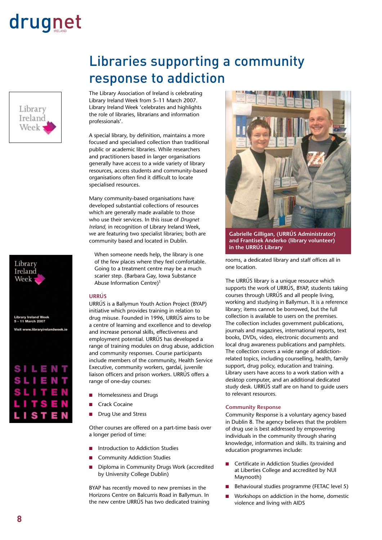Library Ireland Week



The Library Association of Ireland is celebrating Library Ireland Week from 5–11 March 2007. Library Ireland Week 'celebrates and highlights the role of libraries, librarians and information professionals'.

A special library, by definition, maintains a more focused and specialised collection than traditional public or academic libraries. While researchers and practitioners based in larger organisations generally have access to a wide variety of library resources, access students and community-based organisations often find it difficult to locate specialised resources.

Many community-based organisations have developed substantial collections of resources which are generally made available to those who use their services. In this issue of *Drugnet Ireland,* in recognition of Library Ireland Week, we are featuring two specialist libraries; both are community based and located in Dublin.

When someone needs help, the library is one of the few places where they feel comfortable. Going to a treatment centre may be a much scarier step. (Barbara Gay, Iowa Substance Abuse Information Centre)1

#### **URRÚS**

URRÚS is a Ballymun Youth Action Project (BYAP) initiative which provides training in relation to drug misuse. Founded in 1996, URRÚS aims to be a centre of learning and excellence and to develop and increase personal skills, effectiveness and employment potential. URRÚS has developed a range of training modules on drug abuse, addiction and community responses. Course participants include members of the community, Health Service Executive, community workers, gardaí, juvenile liaison officers and prison workers. URRÚS offers a range of one-day courses:

- Homelessness and Drugs n
- Crack Cocaine n
- Drug Use and Stress n

Other courses are offered on a part-time basis over a longer period of time:

- Introduction to Addiction Studies n
- Community Addiction Studies n
- Diploma in Community Drugs Work (accredited by University College Dublin) n

BYAP has recently moved to new premises in the Horizons Centre on Balcurris Road in Ballymun. In the new centre URRÚS has two dedicated training



**Gabrielle Gilligan, (URRÚS Administrator) and Frantisek Anderko (library volunteer) in the URRÚS Library**

rooms, a dedicated library and staff offices all in one location.

The URRÚS library is a unique resource which supports the work of URRÚS, BYAP, students taking courses through URRÚS and all people living, working and studying in Ballymun. It is a reference library; items cannot be borrowed, but the full collection is available to users on the premises. The collection includes government publications, journals and magazines, international reports, text books, DVDs, video, electronic documents and local drug awareness publications and pamphlets. The collection covers a wide range of addictionrelated topics, including counselling, health, family support, drug policy, education and training. Library users have access to a work station with a desktop computer, and an additional dedicated study desk. URRÚS staff are on hand to guide users to relevant resources.

#### **Community Response**

Community Response is a voluntary agency based in Dublin 8. The agency believes that the problem of drug use is best addressed by empowering individuals in the community through sharing knowledge, information and skills. Its training and education programmes include:

- Certificate in Addiction Studies (provided at Liberties College and accredited by NUI Maynooth)
- Behavioural studies programme (FETAC level 5)
- Workshops on addiction in the home, domestic violence and living with AIDS n

Library Ireland Week **1** 

Library Ireland We<br>5 - 11 March 2007 Visit www.libraryirelandweek.ie

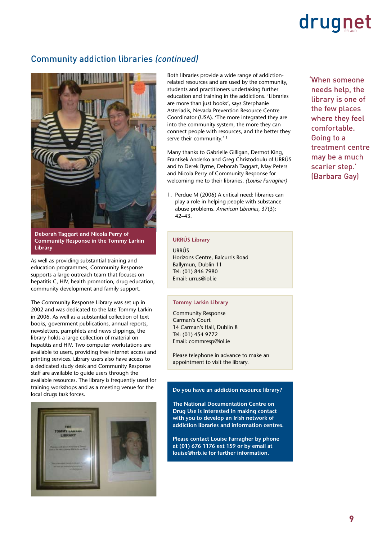### Community addiction libraries *(continued)*



**Deborah Taggart and Nicola Perry of Community Response in the Tommy Larkin Library**

As well as providing substantial training and education programmes, Community Response supports a large outreach team that focuses on hepatitis C, HIV, health promotion, drug education, community development and family support.

The Community Response Library was set up in 2002 and was dedicated to the late Tommy Larkin in 2006. As well as a substantial collection of text books, government publications, annual reports, newsletters, pamphlets and news clippings, the library holds a large collection of material on hepatitis and HIV. Two computer workstations are available to users, providing free internet access and printing services. Library users also have access to a dedicated study desk and Community Response staff are available to guide users through the available resources. The library is frequently used for training workshops and as a meeting venue for the local drugs task forces.



Both libraries provide a wide range of addictionrelated resources and are used by the community, students and practitioners undertaking further education and training in the addictions. 'Libraries are more than just books', says Sterphanie Asteriadis, Nevada Prevention Resource Centre Coordinator (USA). 'The more integrated they are into the community system, the more they can connect people with resources, and the better they serve their community.'<sup>1</sup>

Many thanks to Gabrielle Gilligan, Dermot King, Frantisek Anderko and Greg Christodoulu of URRÚS and to Derek Byrne, Deborah Taggart, May Peters and Nicola Perry of Community Response for welcoming me to their libraries. *(Louise Farragher)*

1. Perdue M (2006) A critical need: libraries can play a role in helping people with substance abuse problems. *American Libraries,* 37(3): 42–43.

### **URRÚS Library**

URRÚS Horizons Centre, Balcurris Road Ballymun, Dublin 11 Tel: (01) 846 7980 Email: urrus@iol.ie

#### **Tommy Larkin Library**

Community Response Carman's Court 14 Carman's Hall, Dublin 8 Tel: (01) 454 9772 Email: commresp@iol.ie

Please telephone in advance to make an appointment to visit the library.

### **Do you have an addiction resource library?**

**The National Documentation Centre on Drug Use is interested in making contact with you to develop an Irish network of addiction libraries and information centres.** 

**Please contact Louise Farragher by phone at (01) 676 1176 ext 159 or by email at louise@hrb.ie for further information.**

'When someone needs help, the library is one of the few places where they feel comfortable. Going to a treatment centre may be a much scarier step.' (Barbara Gay)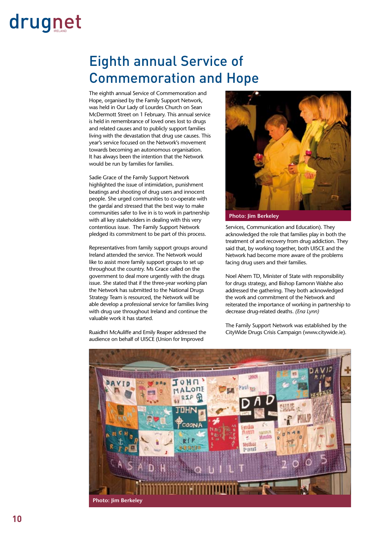### Eighth annual Service of Commemoration and Hope

The eighth annual Service of Commemoration and Hope, organised by the Family Support Network, was held in Our Lady of Lourdes Church on Sean McDermott Street on 1 February. This annual service is held in remembrance of loved ones lost to drugs and related causes and to publicly support families living with the devastation that drug use causes. This year's service focused on the Network's movement towards becoming an autonomous organisation. It has always been the intention that the Network would be run by families for families.

Sadie Grace of the Family Support Network highlighted the issue of intimidation, punishment beatings and shooting of drug users and innocent people. She urged communities to co-operate with the gardaí and stressed that the best way to make communities safer to live in is to work in partnership with all key stakeholders in dealing with this very contentious issue. The Family Support Network pledged its commitment to be part of this process.

Representatives from family support groups around Ireland attended the service. The Network would like to assist more family support groups to set up throughout the country. Ms Grace called on the government to deal more urgently with the drugs issue. She stated that if the three-year working plan the Network has submitted to the National Drugs Strategy Team is resourced, the Network will be able develop a professional service for families living with drug use throughout Ireland and continue the valuable work it has started.

Ruaidhri McAuliffe and Emily Reaper addressed the audience on behalf of UISCE (Union for Improved



**Photo: Jim Berkeley**

Services, Communication and Education). They acknowledged the role that families play in both the treatment of and recovery from drug addiction. They said that, by working together, both UISCE and the Network had become more aware of the problems facing drug users and their families.

Noel Ahern TD, Minister of State with responsibility for drugs strategy, and Bishop Eamonn Walshe also addressed the gathering. They both acknowledged the work and commitment of the Network and reiterated the importance of working in partnership to decrease drug-related deaths. *(Ena Lynn)*

The Family Support Network was established by the CityWide Drugs Crisis Campaign (www.citywide.ie).

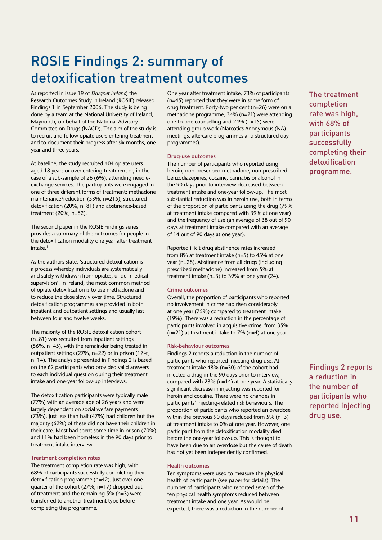### ROSIE Findings 2: summary of detoxification treatment outcomes

As reported in issue 19 of *Drugnet Ireland,* the Research Outcomes Study in Ireland (ROSIE) released Findings 1 in September 2006. The study is being done by a team at the National University of Ireland, Maynooth, on behalf of the National Advisory Committee on Drugs (NACD). The aim of the study is to recruit and follow opiate users entering treatment and to document their progress after six months, one year and three years.

At baseline, the study recruited 404 opiate users aged 18 years or over entering treatment or, in the case of a sub-sample of 26 (6%), attending needleexchange services. The participants were engaged in one of three different forms of treatment: methadone maintenance/reduction (53%, n=215), structured detoxification (20%, n=81) and abstinence-based treatment (20%, n=82).

The second paper in the ROSIE Findings series provides a summary of the outcomes for people in the detoxification modality one year after treatment intake.1

As the authors state, 'structured detoxification is a process whereby individuals are systematically and safely withdrawn from opiates, under medical supervision'. In Ireland, the most common method of opiate detoxification is to use methadone and to reduce the dose slowly over time. Structured detoxification programmes are provided in both inpatient and outpatient settings and usually last between four and twelve weeks.

The majority of the ROSIE detoxification cohort (n=81) was recruited from inpatient settings (56%, n=45), with the remainder being treated in outpatient settings (27%, n=22) or in prison (17%, n=14). The analysis presented in Findings 2 is based on the 62 participants who provided valid answers to each individual question during their treatment intake and one-year follow-up interviews.

The detoxification participants were typically male (77%) with an average age of 26 years and were largely dependent on social welfare payments (73%). Just less than half (47%) had children but the majority (62%) of these did not have their children in their care. Most had spent some time in prison (70%) and 11% had been homeless in the 90 days prior to treatment intake interview.

#### **Treatment completion rates**

The treatment completion rate was high, with 68% of participants successfully completing their detoxification programme (n=42). Just over onequarter of the cohort (27%, n=17) dropped out of treatment and the remaining 5% (n=3) were transferred to another treatment type before completing the programme.

One year after treatment intake, 73% of participants (n=45) reported that they were in some form of drug treatment. Forty-two per cent (n=26) were on a methadone programme, 34% (n=21) were attending one-to-one counselling and 24% (n=15) were attending group work (Narcotics Anonymous (NA) meetings, aftercare programmes and structured day programmes).

#### **Drug-use outcomes**

The number of participants who reported using heroin, non-prescribed methadone, non-prescribed benzodiazepines, cocaine, cannabis or alcohol in the 90 days prior to interview decreased between treatment intake and one-year follow-up. The most substantial reduction was in heroin use, both in terms of the proportion of participants using the drug (79% at treatment intake compared with 39% at one year) and the frequency of use (an average of 38 out of 90 days at treatment intake compared with an average of 14 out of 90 days at one year).

Reported illicit drug abstinence rates increased from 8% at treatment intake (n=5) to 45% at one year (n=28). Abstinence from all drugs (including prescribed methadone) increased from 5% at treatment intake (n=3) to 39% at one year (24).

#### **Crime outcomes**

Overall, the proportion of participants who reported no involvement in crime had risen considerably at one year (75%) compared to treatment intake (19%). There was a reduction in the percentage of participants involved in acquisitive crime, from 35% (n=21) at treatment intake to 7% (n=4) at one year.

#### **Risk-behaviour outcomes**

Findings 2 reports a reduction in the number of participants who reported injecting drug use. At treatment intake 48% (n=30) of the cohort had injected a drug in the 90 days prior to interview, compared with 23% (n=14) at one year. A statistically significant decrease in injecting was reported for heroin and cocaine. There were no changes in participants' injecting-related risk behaviours. The proportion of participants who reported an overdose within the previous 90 days reduced from 5% (n=3) at treatment intake to 0% at one year. However, one participant from the detoxification modality died before the one-year follow-up. This is thought to have been due to an overdose but the cause of death has not yet been independently confirmed.

#### **Health outcomes**

Ten symptoms were used to measure the physical health of participants (see paper for details). The number of participants who reported seven of the ten physical health symptoms reduced between treatment intake and one year. As would be expected, there was a reduction in the number of

The treatment completion rate was high, with 68% of participants successfully completing their detoxification programme.

Findings 2 reports a reduction in the number of participants who reported injecting drug use.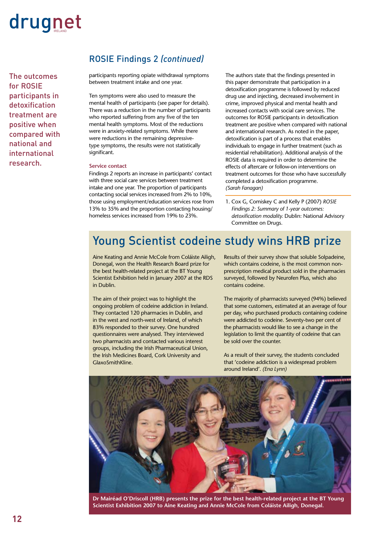The outcomes for ROSIE participants in detoxification treatment are positive when compared with national and international research.

### ROSIE Findings 2 *(continued)*

participants reporting opiate withdrawal symptoms between treatment intake and one year.

Ten symptoms were also used to measure the mental health of participants (see paper for details). There was a reduction in the number of participants who reported suffering from any five of the ten mental health symptoms. Most of the reductions were in anxiety-related symptoms. While there were reductions in the remaining depressivetype symptoms, the results were not statistically significant.

### **Service contact**

Findings 2 reports an increase in participants' contact with three social care services between treatment intake and one year. The proportion of participants contacting social services increased from 2% to 10%, those using employment/education services rose from 13% to 35% and the proportion contacting housing/ homeless services increased from 19% to 23%.

The authors state that the findings presented in this paper demonstrate that participation in a detoxification programme is followed by reduced drug use and injecting, decreased involvement in crime, improved physical and mental health and increased contacts with social care services. The outcomes for ROSIE participants in detoxification treatment are positive when compared with national and international research. As noted in the paper, detoxification is part of a process that enables individuals to engage in further treatment (such as residential rehabilitation). Additional analysis of the ROSIE data is required in order to determine the effects of aftercare or follow-on interventions on treatment outcomes for those who have successfully completed a detoxification programme. *(Sarah Fanagan)*

1. Cox G, Comiskey C and Kelly P (2007) *ROSIE Findings 2: Summary of 1-year outcomes: detoxification modality.* Dublin: National Advisory Committee on Drugs.

### Young Scientist codeine study wins HRB prize

Aine Keating and Annie McCole from Coláiste Ailigh, Donegal, won the Health Research Board prize for the best health-related project at the BT Young Scientist Exhibition held in January 2007 at the RDS in Dublin.

The aim of their project was to highlight the ongoing problem of codeine addiction in Ireland. They contacted 120 pharmacies in Dublin, and in the west and north-west of Ireland, of which 83% responded to their survey. One hundred questionnaires were analysed. They interviewed two pharmacists and contacted various interest groups, including the Irish Pharmaceutical Union, the Irish Medicines Board, Cork University and GlaxoSmithKline.

Results of their survey show that soluble Solpadeine, which contains codeine, is the most common nonprescription medical product sold in the pharmacies surveyed, followed by Neurofen Plus, which also contains codeine.

The majority of pharmacists surveyed (94%) believed that some customers, estimated at an average of four per day, who purchased products containing codeine were addicted to codeine. Seventy-two per cent of the pharmacists would like to see a change in the legislation to limit the quantity of codeine that can be sold over the counter.

As a result of their survey, the students concluded that 'codeine addiction is a widespread problem around Ireland'. *(Ena Lynn)*



**Dr Mairéad O'Driscoll (HRB) presents the prize for the best health-related project at the BT Young Scientist Exhibition 2007 to Aine Keating and Annie McCole from Coláiste Ailigh, Donegal.**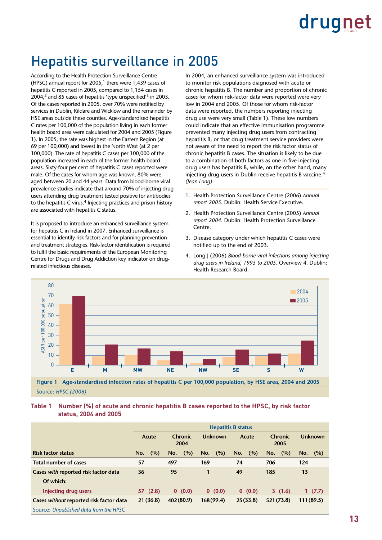### Hepatitis surveillance in 2005

According to the Health Protection Surveillance Centre (HPSC) annual report for 2005.<sup>1</sup> there were 1.439 cases of hepatitis C reported in 2005, compared to 1,154 cases in 2004,2 and 85 cases of hepatitis 'type unspecified'3 in 2003. Of the cases reported in 2005, over 70% were notified by services in Dublin, Kildare and Wicklow and the remainder by HSE areas outside these counties. Age-standardised hepatitis C rates per 100,000 of the population living in each former health board area were calculated for 2004 and 2005 (Figure 1). In 2005, the rate was highest in the Eastern Region (at 69 per 100,000) and lowest in the North West (at 2 per 100,000). The rate of hepatitis C cases per 100,000 of the population increased in each of the former health board areas. Sixty-four per cent of hepatitis C cases reported were male. Of the cases for whom age was known, 80% were aged between 20 and 44 years. Data from blood-borne viral prevalence studies indicate that around 70% of injecting drug users attending drug treatment tested positive for antibodies to the hepatitis C virus.<sup>4</sup> Injecting practices and prison history are associated with hepatitis C status.

It is proposed to introduce an enhanced surveillance system for hepatitis C in Ireland in 2007. Enhanced surveillance is essential to identify risk factors and for planning prevention and treatment strategies. Risk-factor identification is required to fulfil the basic requirements of the European Monitoring Centre for Drugs and Drug Addiction key indicator on drugrelated infectious diseases.

In 2004, an enhanced surveillance system was introduced to monitor risk populations diagnosed with acute or chronic hepatitis B. The number and proportion of chronic cases for whom risk-factor data were reported were very low in 2004 and 2005. Of those for whom risk-factor data were reported, the numbers reporting injecting drug use were very small (Table 1). These low numbers could indicate that an effective immunisation programme prevented many injecting drug users from contracting hepatitis B, or that drug treatment service providers were not aware of the need to report the risk factor status of chronic hepatitis B cases. The situation is likely to be due to a combination of both factors as one in five injecting drug users has hepatitis B, while, on the other hand, many injecting drug users in Dublin receive hepatitis B vaccine.4 *(Jean Long)*

- 1. Health Protection Surveillance Centre (2006) *Annual report 2005.* Dublin: Health Service Executive.
- 2. Health Protection Surveillance Centre (2005) *Annual report 2004.* Dublin: Health Protection Surveillance Centre.
- 3. Disease category under which hepatitis C cases were notified up to the end of 2003.
- 4. Long J (2006) *Blood-borne viral infections among injecting drug users in Ireland, 1995 to 2005.* Overview 4. Dublin: Health Research Board.



Source: *HPSC (2006)*

#### Table 1 **Table 1 Number (%) of acute and chronic hepatitis B cases reported to the HPSC, by risk factor status, 2004 and 2005**

|                                         | <b>Hepatitis B status</b> |                 |            |            |                 |            |
|-----------------------------------------|---------------------------|-----------------|------------|------------|-----------------|------------|
|                                         | Acute                     | Chronic<br>2004 | Unknown    | Acute      | Chronic<br>2005 | Unknown    |
| <b>Risk factor status</b>               | (%)<br>No.                | (%)<br>No.      | (%)<br>No. | No.<br>(%) | (%)<br>No.      | (%)<br>No. |
| Total number of cases                   | 57                        | 497             | 169        | 74         | 706             | 124        |
| Cases with reported risk factor data    | 36                        | 95              |            | 49         | 185             | 13         |
| Of which:                               |                           |                 |            |            |                 |            |
| Injecting drug users                    | 57(2.8)                   | 0(0.0)          | 0(0.0)     | 0(0.0)     | 3(1.6)          | 1(7.7)     |
| Cases without reported risk factor data | 21(36.8)                  | 402(80.9)       | 168(99.4)  | 25(33.8)   | 521(73.8)       | 111(89.5)  |
| Source: Unpublished data from the HPSC  |                           |                 |            |            |                 |            |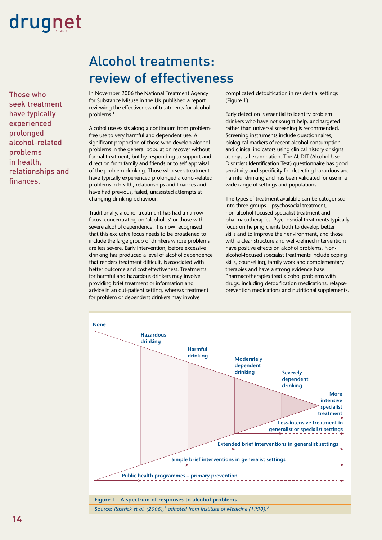Those who seek treatment have typically experienced prolonged alcohol-related problems in health, relationships and finances.

### Alcohol treatments: review of effectiveness

In November 2006 the National Treatment Agency for Substance Misuse in the UK published a report reviewing the effectiveness of treatments for alcohol problems.1

Alcohol use exists along a continuum from problemfree use to very harmful and dependent use. A significant proportion of those who develop alcohol problems in the general population recover without formal treatment, but by responding to support and direction from family and friends or to self appraisal of the problem drinking. Those who seek treatment have typically experienced prolonged alcohol-related problems in health, relationships and finances and have had previous, failed, unassisted attempts at changing drinking behaviour.

Traditionally, alcohol treatment has had a narrow focus, concentrating on 'alcoholics' or those with severe alcohol dependence. It is now recognised that this exclusive focus needs to be broadened to include the large group of drinkers whose problems are less severe. Early intervention, before excessive drinking has produced a level of alcohol dependence that renders treatment difficult, is associated with better outcome and cost effectiveness. Treatments for harmful and hazardous drinkers may involve providing brief treatment or information and advice in an out-patient setting, whereas treatment for problem or dependent drinkers may involve

complicated detoxification in residential settings (Figure 1).

Early detection is essential to identify problem drinkers who have not sought help, and targeted rather than universal screening is recommended. Screening instruments include questionnaires, biological markers of recent alcohol consumption and clinical indicators using clinical history or signs at physical examination. The AUDIT (Alcohol Use Disorders Identification Test) questionnaire has good sensitivity and specificity for detecting hazardous and harmful drinking and has been validated for use in a wide range of settings and populations.

The types of treatment available can be categorised into three groups – psychosocial treatment, non-alcohol-focused specialist treatment and pharmacotherapies. Psychosocial treatments typically focus on helping clients both to develop better skills and to improve their environment, and those with a clear structure and well-defined interventions have positive effects on alcohol problems. Nonalcohol-focused specialist treatments include coping skills, counselling, family work and complementary therapies and have a strong evidence base. Pharmacotherapies treat alcohol problems with drugs, including detoxification medications, relapseprevention medications and nutritional supplements.



Source: *Rastrick et al.* (2006),<sup>1</sup> adapted from Institute of Medicine (1990).<sup>2</sup>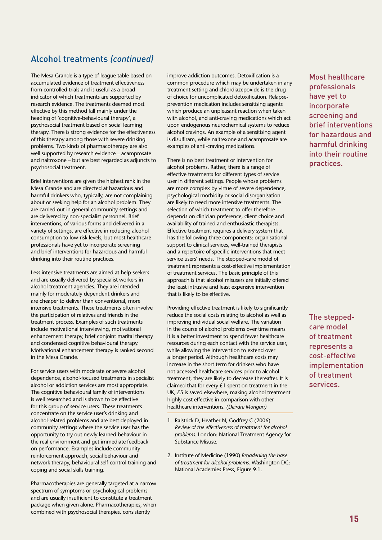### Alcohol treatments *(continued)*

The Mesa Grande is a type of league table based on accumulated evidence of treatment effectiveness from controlled trials and is useful as a broad indicator of which treatments are supported by research evidence. The treatments deemed most effective by this method fall mainly under the heading of 'cognitive-behavioural therapy', a psychosocial treatment based on social learning therapy. There is strong evidence for the effectiveness of this therapy among those with severe drinking problems. Two kinds of pharmacotherapy are also well supported by research evidence – acamprosate and naltroxone – but are best regarded as adjuncts to psychosocial treatment.

Brief interventions are given the highest rank in the Mesa Grande and are directed at hazardous and harmful drinkers who, typically, are not complaining about or seeking help for an alcohol problem. They are carried out in general community settings and are delivered by non-specialist personnel. Brief interventions, of various forms and delivered in a variety of settings, are effective in reducing alcohol consumption to low-risk levels, but most healthcare professionals have yet to incorporate screening and brief interventions for hazardous and harmful drinking into their routine practices.

Less intensive treatments are aimed at help-seekers and are usually delivered by specialist workers in alcohol treatment agencies. They are intended mainly for moderately dependent drinkers and are cheaper to deliver than conventional, more intensive treatments. These treatments often involve the participation of relatives and friends in the treatment process. Examples of such treatments include motivational interviewing, motivational enhancement therapy, brief conjoint marital therapy and condensed cognitive behavioural therapy. Motivational enhancement therapy is ranked second in the Mesa Grande.

For service users with moderate or severe alcohol dependence, alcohol-focused treatments in specialist alcohol or addiction services are most appropriate. The cognitive behavioural family of interventions is well researched and is shown to be effective for this group of service users. These treatments concentrate on the service user's drinking and alcohol-related problems and are best deployed in community settings where the service user has the opportunity to try out newly learned behaviour in the real environment and get immediate feedback on performance. Examples include community reinforcement approach, social behaviour and network therapy, behavioural self-control training and coping and social skills training.

Pharmacotherapies are generally targeted at a narrow spectrum of symptoms or psychological problems and are usually insufficient to constitute a treatment package when given alone. Pharmacotherapies, when combined with psychosocial therapies, consistently

improve addiction outcomes. Detoxification is a common procedure which may be undertaken in any treatment setting and chlordiazepoxide is the drug of choice for uncomplicated detoxification. Relapseprevention medication includes sensitising agents which produce an unpleasant reaction when taken with alcohol, and anti-craving medications which act upon endogenous neurochemical systems to reduce alcohol cravings. An example of a sensitising agent is disulfiram, while naltrexone and acamprosate are examples of anti-craving medications.

There is no best treatment or intervention for alcohol problems. Rather, there is a range of effective treatments for different types of service user in different settings. People whose problems are more complex by virtue of severe dependence, psychological morbidity or social disorganisation are likely to need more intensive treatments. The selection of which treatment to offer therefore depends on clinician preference, client choice and availability of trained and enthusiastic therapists. Effective treatment requires a delivery system that has the following three components: organisational support to clinical services, well-trained therapists and a repertoire of specific interventions that meet service users' needs. The stepped-care model of treatment represents a cost-effective implementation of treatment services. The basic principle of this approach is that alcohol misusers are initially offered the least intrusive and least expensive intervention that is likely to be effective.

Providing effective treatment is likely to significantly reduce the social costs relating to alcohol as well as improving individual social welfare. The variation in the course of alcohol problems over time means it is a better investment to spend fewer healthcare resources during each contact with the service user, while allowing the intervention to extend over a longer period. Although healthcare costs may increase in the short term for drinkers who have not accessed healthcare services prior to alcohol treatment, they are likely to decrease thereafter. It is claimed that for every  $£1$  spent on treatment in the UK, £5 is saved elsewhere, making alcohol treatment highly cost effective in comparison with other healthcare interventions. *(Deirdre Mongan)*

- 1. Raistrick D, Heather N, Godfrey C (2006) *Review of the effectiveness of treatment for alcohol problems.* London: National Treatment Agency for Substance Misuse.
- 2. Institute of Medicine (1990) *Broadening the base of treatment for alcohol problems.* Washington DC: National Academies Press, Figure 9.1.

Most healthcare professionals have yet to incorporate screening and brief interventions for hazardous and harmful drinking into their routine practices.

The steppedcare model of treatment represents a cost-effective implementation of treatment services.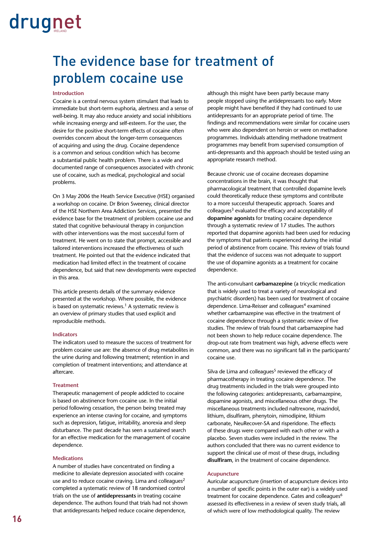### The evidence base for treatment of problem cocaine use

### **Introduction**

Cocaine is a central nervous system stimulant that leads to immediate but short-term euphoria, alertness and a sense of well-being. It may also reduce anxiety and social inhibitions while increasing energy and self-esteem. For the user, the desire for the positive short-term effects of cocaine often overrides concern about the longer-term consequences of acquiring and using the drug. Cocaine dependence is a common and serious condition which has become a substantial public health problem. There is a wide and documented range of consequences associated with chronic use of cocaine, such as medical, psychological and social problems.

On 3 May 2006 the Heath Service Executive (HSE) organised a workshop on cocaine. Dr Brion Sweeney, clinical director of the HSE Northern Area Addiction Services, presented the evidence base for the treatment of problem cocaine use and stated that cognitive behavioural therapy in conjunction with other interventions was the most successful form of treatment. He went on to state that prompt, accessible and tailored interventions increased the effectiveness of such treatment. He pointed out that the evidence indicated that medication had limited effect in the treatment of cocaine dependence, but said that new developments were expected in this area.

This article presents details of the summary evidence presented at the workshop. Where possible, the evidence is based on systematic reviews.<sup>1</sup> A systematic review is an overview of primary studies that used explicit and reproducible methods.

### **Indicators**

The indicators used to measure the success of treatment for problem cocaine use are: the absence of drug metabolites in the urine during and following treatment; retention in and completion of treatment interventions; and attendance at aftercare.

#### **Treatment**

Therapeutic management of people addicted to cocaine is based on abstinence from cocaine use. In the initial period following cessation, the person being treated may experience an intense craving for cocaine, and symptoms such as depression, fatigue, irritability, anorexia and sleep disturbance. The past decade has seen a sustained search for an effective medication for the management of cocaine dependence.

#### **Medications**

A number of studies have concentrated on finding a medicine to alleviate depression associated with cocaine use and to reduce cocaine craving. Lima and colleagues<sup>2</sup> completed a systematic review of 18 randomised control trials on the use of **antidepressants** in treating cocaine dependence. The authors found that trials had not shown that antidepressants helped reduce cocaine dependence,

although this might have been partly because many people stopped using the antidepressants too early. More people might have benefited if they had continued to use antidepressants for an appropriate period of time. The findings and recommendations were similar for cocaine users who were also dependent on heroin or were on methadone programmes. Individuals attending methadone treatment programmes may benefit from supervised consumption of anti-depressants and this approach should be tested using an appropriate research method.

Because chronic use of cocaine decreases dopamine concentrations in the brain, it was thought that pharmacological treatment that controlled dopamine levels could theoretically reduce these symptoms and contribute to a more successful therapeutic approach. Soares and colleagues<sup>3</sup> evaluated the efficacy and acceptability of **dopamine agonists** for treating cocaine dependence through a systematic review of 17 studies. The authors reported that dopamine agonists had been used for reducing the symptoms that patients experienced during the initial period of abstinence from cocaine. This review of trials found that the evidence of success was not adequate to support the use of dopamine agonists as a treatment for cocaine dependence.

The anti-convulsant **carbamazepine** (a tricyclic medication that is widely used to treat a variety of neurological and psychiatric disorders) has been used for treatment of cocaine dependence. Lima-Reisser and colleagues<sup>4</sup> examined whether carbamazepine was effective in the treatment of cocaine dependence through a systematic review of five studies. The review of trials found that carbamazepine had not been shown to help reduce cocaine dependence. The drop-out rate from treatment was high, adverse effects were common, and there was no significant fall in the participants' cocaine use.

Silva de Lima and colleagues $5$  reviewed the efficacy of pharmacotherapy in treating cocaine dependence. The drug treatments included in the trials were grouped into the following categories: antidepressants, carbamazepine, dopamine agonists, and miscellaneous other drugs. The miscellaneous treatments included naltrexone, mazindol, lithium, disulfiram, phenytoin, nimodipine, lithium carbonate, NeuRecover-SA and risperidone. The effects of these drugs were compared with each other or with a placebo. Seven studies were included in the review. The authors concluded that there was no current evidence to support the clinical use of most of these drugs, including **disulfiram**, in the treatment of cocaine dependence.

#### **Acupuncture**

Auricular acupuncture (insertion of acupuncture devices into a number of specific points in the outer ear) is a widely used treatment for cocaine dependence. Gates and colleagues<sup>6</sup> assessed its effectiveness in a review of seven study trials, all of which were of low methodological quality. The review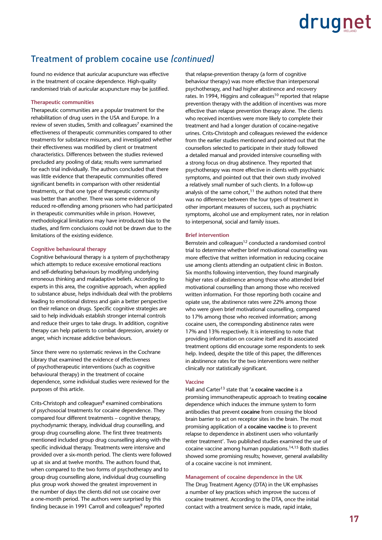### Treatment of problem cocaine use *(continued)*

found no evidence that auricular acupuncture was effective in the treatment of cocaine dependence. High-quality randomised trials of auricular acupuncture may be justified.

#### **Therapeutic communities**

Therapeutic communities are a popular treatment for the rehabilitation of drug users in the USA and Europe. In a review of seven studies, Smith and colleagues<sup>7</sup> examined the effectiveness of therapeutic communities compared to other treatments for substance misusers, and investigated whether their effectiveness was modified by client or treatment characteristics. Differences between the studies reviewed precluded any pooling of data; results were summarised for each trial individually. The authors concluded that there was little evidence that therapeutic communities offered significant benefits in comparison with other residential treatments, or that one type of therapeutic community was better than another. There was some evidence of reduced re-offending among prisoners who had participated in therapeutic communities while in prison. However, methodological limitations may have introduced bias to the studies, and firm conclusions could not be drawn due to the limitations of the existing evidence.

#### **Cognitive behavioural therapy**

Cognitive behavioural therapy is a system of psychotherapy which attempts to reduce excessive emotional reactions and self-defeating behaviours by modifying underlying erroneous thinking and maladaptive beliefs. According to experts in this area, the cognitive approach, when applied to substance abuse, helps individuals deal with the problems leading to emotional distress and gain a better perspective on their reliance on drugs. Specific cognitive strategies are said to help individuals establish stronger internal controls and reduce their urges to take drugs. In addition, cognitive therapy can help patients to combat depression, anxiety or anger, which increase addictive behaviours.

Since there were no systematic reviews in the Cochrane Library that examined the evidence of effectiveness of psychotherapeutic interventions (such as cognitive behavioural therapy) in the treatment of cocaine dependence, some individual studies were reviewed for the purposes of this article.

Crits-Christoph and colleagues $8$  examined combinations of psychosocial treatments for cocaine dependence. They compared four different treatments – cognitive therapy, psychodynamic therapy, individual drug counselling, and group drug counselling alone. The first three treatments mentioned included group drug counselling along with the specific individual therapy. Treatments were intensive and provided over a six-month period. The clients were followed up at six and at twelve months. The authors found that, when compared to the two forms of psychotherapy and to group drug counselling alone, individual drug counselling plus group work showed the greatest improvement in the number of days the clients did not use cocaine over a one-month period. The authors were surprised by this finding because in 1991 Carroll and colleagues<sup>9</sup> reported

that relapse-prevention therapy (a form of cognitive behaviour therapy) was more effective than interpersonal psychotherapy, and had higher abstinence and recovery rates. In 1994, Higgins and colleagues<sup>10</sup> reported that relapse prevention therapy with the addition of incentives was more effective than relapse prevention therapy alone. The clients who received incentives were more likely to complete their treatment and had a longer duration of cocaine-negative urines. Crits-Christoph and colleagues reviewed the evidence from the earlier studies mentioned and pointed out that the counsellors selected to participate in their study followed a detailed manual and provided intensive counselling with a strong focus on drug abstinence. They reported that psychotherapy was more effective in clients with psychiatric symptoms, and pointed out that their own study involved a relatively small number of such clients. In a follow-up analysis of the same cohort, $11$  the authors noted that there was no difference between the four types of treatment in other important measures of success, such as psychiatric symptoms, alcohol use and employment rates, nor in relation to interpersonal, social and family issues.

### **Brief intervention**

Bernstein and colleagues<sup>12</sup> conducted a randomised control trial to determine whether brief motivational counselling was more effective that written information in reducing cocaine use among clients attending an outpatient clinic in Boston. Six months following intervention, they found marginally higher rates of abstinence among those who attended brief motivational counselling than among those who received written information. For those reporting both cocaine and opiate use, the abstinence rates were 22% among those who were given brief motivational counselling, compared to 17% among those who received information; among cocaine users, the corresponding abstinence rates were 17% and 13% respectively. It is interesting to note that providing information on cocaine itself and its associated treatment options did encourage some respondents to seek help. Indeed, despite the title of this paper, the differences in abstinence rates for the two interventions were neither clinically nor statistically significant.

### **Vaccine**

Hall and Carter13 state that 'a **cocaine vaccine** is a promising immunotherapeutic approach to treating **cocaine** dependence which induces the immune system to form antibodies that prevent **cocaine** from crossing the blood brain barrier to act on receptor sites in the brain. The most promising application of a **cocaine vaccine** is to prevent relapse to dependence in abstinent users who voluntarily enter treatment'. Two published studies examined the use of cocaine vaccine among human populations.14,15 Both studies showed some promising results; however, general availability of a cocaine vaccine is not imminent.

### **Management of cocaine dependence in the UK**

The Drug Treatment Agency (DTA) in the UK emphasises a number of key practices which improve the success of cocaine treatment. According to the DTA, once the initial contact with a treatment service is made, rapid intake,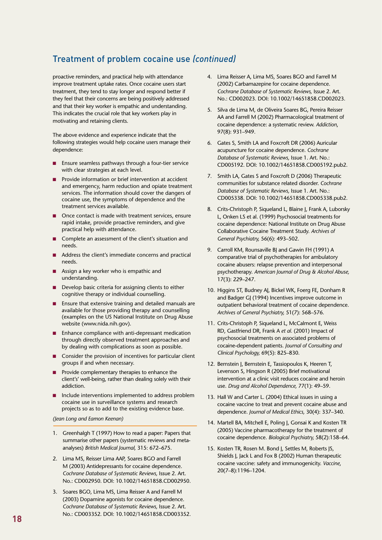### Treatment of problem cocaine use *(continued)*

proactive reminders, and practical help with attendance improve treatment uptake rates. Once cocaine users start treatment, they tend to stay longer and respond better if they feel that their concerns are being positively addressed and that their key worker is empathic and understanding. This indicates the crucial role that key workers play in motivating and retaining clients.

The above evidence and experience indicate that the following strategies would help cocaine users manage their dependence:

- Ensure seamless pathways through a four-tier service with clear strategies at each level. n
- Provide information or brief intervention at accident and emergency, harm reduction and opiate treatment services. The information should cover the dangers of cocaine use, the symptoms of dependence and the treatment services available. n
- Once contact is made with treatment services, ensure rapid intake, provide proactive reminders, and give practical help with attendance. n
- Complete an assessment of the client's situation and needs. n
- **Address the client's immediate concerns and practical** needs.
- **Assign a key worker who is empathic and** understanding.
- Develop basic criteria for assigning clients to either cognitive therapy or individual counselling. n
- Ensure that extensive training and detailed manuals are available for those providing therapy and counselling (examples on the US National Institute on Drug Abuse website (www.nida.nih.gov). n
- **Enhance compliance with anti-depressant medication** through directly observed treatment approaches and by dealing with complications as soon as possible.
- Consider the provision of incentives for particular client groups if and when necessary.
- Provide complementary therapies to enhance the client's' well-being, rather than dealing solely with their addiction. n
- Include interventions implemented to address problem cocaine use in surveillance systems and research projects so as to add to the existing evidence base. n

*(Jean Long and Eamon Keenan)*

- 1. Greenhalgh T (1997) How to read a paper: Papers that summarise other papers (systematic reviews and metaanalyses) *British Medical Journal,* 315: 672–675.
- 2. Lima MS, Reisser Lima AAP, Soares BGO and Farrell M (2003) Antidepressants for cocaine dependence. *Cochrane Database of Systematic Reviews,* Issue 2. Art. No.: CD002950. DOI: 10.1002/14651858.CD002950.
- 3. Soares BGO, Lima MS, Lima Reisser A and Farrell M (2003) Dopamine agonists for cocaine dependence. *Cochrane Database of Systematic Reviews,* Issue 2. Art. No.: CD003352. DOI: 10.1002/14651858.CD003352.
- 4. Lima Reisser A, Lima MS, Soares BGO and Farrell M (2002) Carbamazepine for cocaine dependence. *Cochrane Database of Systematic Reviews,* Issue 2. Art. No.: CD002023. DOI: 10.1002/14651858.CD002023.
- 5. Silva de Lima M, de Oliveira Soares BG, Pereira Reisser AA and Farrell M (2002) Pharmacological treatment of cocaine dependence: a systematic review. *Addiction*, 97(8): 931–949.
- 6. Gates S, Smith LA and Foxcroft DR (2006) Auricular acupuncture for cocaine dependence. *Cochrane Database of Systematic Reviews,* Issue 1. Art. No.: CD005192. DOI: 10.1002/14651858.CD005192.pub2.
- 7. Smith LA, Gates S and Foxcroft D (2006) Therapeutic communities for substance related disorder. *Cochrane Database of Systematic Reviews,* Issue 1. Art. No.: CD005338. DOI: 10.1002/14651858.CD005338.pub2.
- 8. Crits-Christoph P, Siqueland L, Blaine J, Frank A, Luborsky L, Onken LS et al. (1999) Psychosocial treatments for cocaine dependence: National Institute on Drug Abuse Collaborative Cocaine Treatment Study. *Archives of General Psychiatry,* 56(6): 493–502.
- 9. Carroll KM, Rounsaville BJ and Gawin FH (1991) A comparative trial of psychotherapies for ambulatory cocaine abusers: relapse prevention and interpersonal psychotherapy. *American Journal of Drug & Alcohol Abuse,* 17(3): 229–247.
- 10. Higgins ST, Budney AJ, Bickel WK, Foerg FE, Donham R and Badger GJ (1994) Incentives improve outcome in outpatient behavioral treatment of cocaine dependence. *Archives of General Psychiatry,* 51(7): 568–576.
- 11. Crits-Christoph P, Siqueland L, McCalmont E, Weiss RD, Gastfriend DR, Frank A *et al.* (2001) Impact of psychosocial treatments on associated problems of cocaine-dependent patients. *Journal of Consulting and Clinical Psychology,* 69(5): 825–830.
- 12. Bernstein J, Bernstein E, Tassiopoulos K, Heeren T, Levenson S, Hingson R (2005) Brief motivational intervention at a clinic visit reduces cocaine and heroin use. *Drug and Alcohol Dependence,* 77(1): 49–59.
- 13. Hall W and Carter L. (2004) Ethical issues in using a cocaine vaccine to treat and prevent cocaine abuse and dependence. *Journal of Medical Ethics,* 30(4): 337–340.
- 14. Martell BA, Mitchell E, Poling J, Gonsai K and Kosten TR (2005) Vaccine pharmacotherapy for the treatment of cocaine dependence. *Biological Psychiatry,* 58(2):158–64.
- 15. Kosten TR, Rosen M. Bond J, Settles M, Roberts JS, Shields J, Jack L and Fox B (2002) Human therapeutic cocaine vaccine: safety and immunogenicity. *Vaccine*, 20(7–8):1196–1204.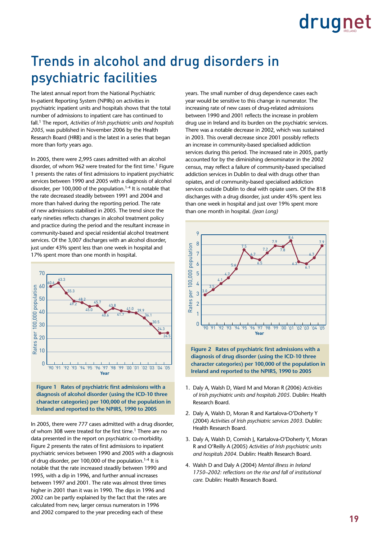### Trends in alcohol and drug disorders in psychiatric facilities

The latest annual report from the National Psychiatric In-patient Reporting System (NPIRs) on activities in psychiatric inpatient units and hospitals shows that the total number of admissions to inpatient care has continued to fall.1 The report, *Activities of Irish psychiatric units and hospitals 2005,* was published in November 2006 by the Health 60 Research Board (HRB) and is the latest in a series that began more than forty years ago.

In 2005, there were 2,995 cases admitted with an alcohol 40 disorder, of whom 962 were treated for the first time.<sup>1</sup> Figure 1 presents the rates of first admissions to inpatient psychiatric services between 1990 and 2005 with a diagnosis of alcohol 20 disorder, per 100,000 of the population.<sup>1-4</sup> It is notable that the rate decreased steadily between 1991 and 2004 and 10 more than halved during the reporting period. The rate 0 of new admissions stabilised in 2005. The trend since the early nineties reflects changes in alcohol treatment policy and practice during the period and the resultant increase in community-based and special residential alcohol treatment services. Of the 3,007 discharges with an alcohol disorder, just under 43% spent less than one week in hospital and 17% spent more than one month in hospital.





In 2005, there were 777 cases admitted with a drug disorder, of whom 308 were treated for the first time.<sup>1</sup> There are no data presented in the report on psychiatric co-morbidity. Figure 2 presents the rates of first admissions to inpatient psychiatric services between 1990 and 2005 with a diagnosis of drug disorder, per 100,000 of the population.<sup>1-4</sup> It is notable that the rate increased steadily between 1990 and 1995, with a dip in 1996, and further annual increases between 1997 and 2001. The rate was almost three times higher in 2001 than it was in 1990. The dips in 1996 and 2002 can be partly explained by the fact that the rates are calculated from new, larger census numerators in 1996 and 2002 compared to the year preceding each of these

years. The small number of drug dependence cases each year would be sensitive to this change in numerator. The increasing rate of new cases of drug-related admissions 9 between 1990 and 2001 reflects the increase in problem drug use in Ireland and its burden on the psychiatric services. There was a notable decrease in 2002, which was sustained in 2003. This overall decrease since 2001 possibly reflects 6 an increase in community-based specialised addiction services during this period. The increased rate in 2005, partly accounted for by the diminishing denominator in the 2002 4 census, may reflect a failure of community-based specialised 3 addiction services in Dublin to deal with drugs other than opiates, and of community-based specialised addiction 2 services outside Dublin to deal with opiate users. Of the 818 1 discharges with a drug disorder, just under 45% spent less discharges with a drug disorder, just under 45% spent les<br>than one week in hospital and just over 19% spent more than one month in hospital. *(Jean Long)*



**Figure 2 Rates of psychiatric first admissions with a diagnosis of drug disorder (using the ICD-10 three character categories) per 100,000 of the population in Ireland and reported to the NPIRS, 1990 to 2005**

- 1. Daly A, Walsh D, Ward M and Moran R (2006) *Activities of Irish psychiatric units and hospitals 2005.* Dublin: Health Research Board.
- 2. Daly A, Walsh D, Moran R and Kartalova-O'Doherty Y (2004) *Activities of Irish psychiatric services 2003.* Dublin: Health Research Board.
- 3. Daly A, Walsh D, Comish I, Kartalova-O'Doherty Y, Moran R and O'Reilly A (2005) *Activities of Irish psychiatric units and hospitals 2004.* Dublin: Health Research Board.
- 4. Walsh D and Daly A (2004) *Mental illness in Ireland 1750–2002: reflections on the rise and fall of institutional care.* Dublin: Health Research Board.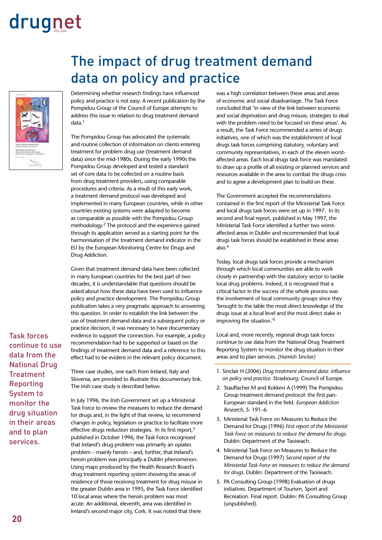

The impact of drug treatment demand data on policy and practice

Determining whether research findings have influenced policy and practice is not easy. A recent publication by the Pompidou Group of the Council of Europe attempts to address this issue in relation to drug treatment demand data.1

The Pompidou Group has advocated the systematic and routine collection of information on clients entering treatment for problem drug use (treatment demand data) since the mid-1980s. During the early 1990s the Pompidou Group developed and tested a standard set of core data to be collected on a routine basis from drug treatment providers, using comparable procedures and criteria. As a result of this early work, a treatment demand protocol was developed and implemented in many European countries, while in other countries existing systems were adapted to become as comparable as possible with the Pompidou Group methodology.2 The protocol and the experience gained through its application served as a starting point for the harmonisation of the treatment demand indicator in the EU by the European Monitoring Centre for Drugs and Drug Addiction.

Given that treatment demand data have been collected in many European countries for the best part of two decades, it is understandable that questions should be asked about how these data have been used to influence policy and practice development. The Pompidou Group publication takes a very pragmatic approach to answering this question. In order to establish the link between the use of treatment demand data and a subsequent policy or practice decision, it was necessary to have documentary evidence to support the connection. For example, a policy recommendation had to be supported or based on the findings of treatment demand data and a reference to this effect had to be evident in the relevant policy document.

Three case studies, one each from Ireland, Italy and Slovenia, are provided to illustrate this documentary link. The Irish case study is described below.

In July 1996, the Irish Government set up a Ministerial Task Force to review the measures to reduce the demand for drugs and, in the light of that review, to recommend changes in policy, legislation or practice to facilitate more effective drugs reduction strategies. In its first report, $3$ published in October 1996, the Task Force recognised that Ireland's drug problem was primarily an opiates problem – mainly heroin – and, further, that Ireland's heroin problem was principally a Dublin phenomenon. Using maps produced by the Health Research Board's drug treatment reporting system showing the areas of residence of those receiving treatment for drug misuse in the greater Dublin area in 1995, the Task Force identified 10 local areas where the heroin problem was most acute. An additional, eleventh, area was identified in Ireland's second major city, Cork. It was noted that there

was a high correlation between these areas and areas of economic and social disadvantage. The Task Force concluded that 'in view of the link between economic and social deprivation and drug misuse, strategies to deal with the problem need to be focused on these areas'. As a result, the Task Force recommended a series of drugs initiatives, one of which was the establishment of local drugs task forces comprising statutory, voluntary and community representatives, in each of the eleven worstaffected areas. Each local drugs task force was mandated to draw up a profile of all existing or planned services and resources available in the area to combat the drugs crisis and to agree a development plan to build on these.

The Government accepted the recommendations contained in the first report of the Ministerial Task Force and local drugs task forces were set up in 1997. In its second and final report, published in May 1997, the Ministerial Task Force identified a further two worstaffected areas in Dublin and recommended that local drugs task forces should be established in these areas also.4

Today, local drugs task forces provide a mechanism through which local communities are able to work closely in partnership with the statutory sector to tackle local drug problems. Indeed, it is recognised that a critical factor in the success of the whole process was the involvement of local community groups since they 'brought to the table the most direct knowledge of the drugs issue at a local level and the most direct stake in improving the situation.'5

Local and, more recently, regional drugs task forces continue to use data from the National Drug Treatment Reporting System to monitor the drug situation in their areas and to plan services. *(Hamish Sinclair)*

- 1. Sinclair H (2006) *Drug treatment demand data: influence on policy and practice.* Strasbourg: Council of Europe.
- 2. Stauffacher M and Kokkevi A (1999) The Pompidou Group treatment demand protocol: the first pan-European standard in the field. *European Addiction Research,* 5: 191–6.
- 3. Ministerial Task Force on Measures to Reduce the Demand for Drugs (1996) *First report of the Ministerial Task Force on measures to reduce the demand for drugs.* Dublin: Department of the Taoiseach.
- 4. Ministerial Task Force on Measures to Reduce the Demand for Drugs (1997) *Second report of the Ministerial Task Force on measures to reduce the demand for drugs.* Dublin: Department of the Taoiseach.
- 5. PA Consulting Group (1998) Evaluation of drugs initiatives. Department of Tourism, Sport and Recreation. Final report. Dublin: PA Consulting Group (unpublished).

Task forces continue to use data from the National Drug **Treatment** Reporting System to monitor the drug situation in their areas and to plan services.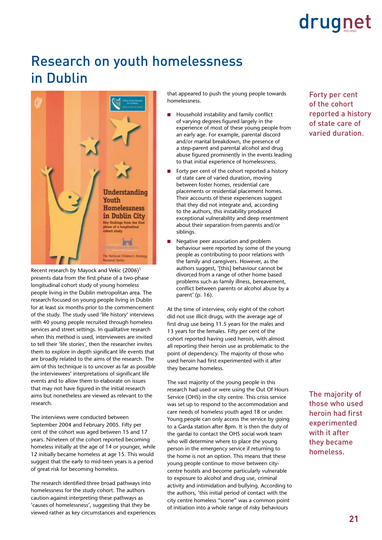### Research on youth homelessness in Dublin



Recent research by Mayock and Vekic (2006)1 presents data from the first phase of a two-phase longitudinal cohort study of young homeless people living in the Dublin metropolitan area. The research focused on young people living in Dublin for at least six months prior to the commencement of the study. The study used 'life history' interviews with 40 young people recruited through homeless services and street settings. In qualitative research when this method is used, interviewees are invited to tell their 'life stories', then the researcher invites them to explore in depth significant life events that are broadly related to the aims of the research. The aim of this technique is to uncover as far as possible the interviewees' interpretations of significant life events and to allow them to elaborate on issues that may not have figured in the initial research aims but nonetheless are viewed as relevant to the research.

The interviews were conducted between September 2004 and February 2005. Fifty per cent of the cohort was aged between 15 and 17 years. Nineteen of the cohort reported becoming homeless initially at the age of 14 or younger, while 12 initially became homeless at age 15. This would suggest that the early to mid-teen years is a period of great risk for becoming homeless.

The research identified three broad pathways into homelessness for the study cohort. The authors caution against interpreting these pathways as 'causes of homelessness', suggesting that they be viewed rather as key circumstances and experiences that appeared to push the young people towards homelessness.

- Household instability and family conflict of varying degrees figured largely in the experience of most of these young people from an early age. For example, parental discord and/or marital breakdown, the presence of a step-parent and parental alcohol and drug abuse figured prominently in the events leading to that initial experience of homelessness. n
- Forty per cent of the cohort reported a history of state care of varied duration, moving between foster homes, residential care placements or residential placement homes. Their accounts of these experiences suggest that they did not integrate and, according to the authors, this instability produced exceptional vulnerability and deep resentment about their separation from parents and/or siblings. n
- Negative peer association and problem behaviour were reported by some of the young people as contributing to poor relations with the family and caregivers. However, as the authors suggest, '[this] behaviour cannot be divorced from a range of other home based problems such as family illness, bereavement, conflict between parents or alcohol abuse by a parent' (p. 16). n

At the time of interview, only eight of the cohort did not use illicit drugs, with the average age of first drug use being 11.5 years for the males and 13 years for the females. Fifty per cent of the cohort reported having used heroin, with almost all reporting their heroin use as problematic to the point of dependency. The majority of those who used heroin had first experimented with it after they became homeless.

The vast majority of the young people in this research had used or were using the Out Of Hours Service (OHS) in the city centre. This crisis service was set up to respond to the accommodation and care needs of homeless youth aged 18 or under. Young people can only access the service by going to a Garda station after 8pm. It is then the duty of the gardai to contact the OHS social work team who will determine where to place the young person in the emergency service if returning to the home is not an option. This means that these young people continue to move between citycentre hostels and become particularly vulnerable to exposure to alcohol and drug use, criminal activity and intimidation and bullying. According to the authors, 'this initial period of contact with the city centre homeless "scene" was a common point of initiation into a whole range of risky behaviours

Forty per cent of the cohort reported a history of state care of varied duration.

The majority of those who used heroin had first experimented with it after they became homeless.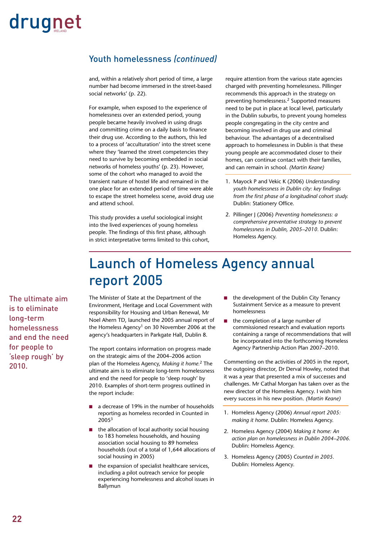### Youth homelessness *(continued)*

and, within a relatively short period of time, a large number had become immersed in the street-based social networks' (p. 22).

For example, when exposed to the experience of homelessness over an extended period, young people became heavily involved in using drugs and committing crime on a daily basis to finance their drug use. According to the authors, this led to a process of 'acculturation' into the street scene where they 'learned the street competencies they need to survive by becoming embedded in social networks of homeless youths' (p. 23). However, some of the cohort who managed to avoid the transient nature of hostel life and remained in the one place for an extended period of time were able to escape the street homeless scene, avoid drug use and attend school.

This study provides a useful sociological insight into the lived experiences of young homeless people. The findings of this first phase, although in strict interpretative terms limited to this cohort, require attention from the various state agencies charged with preventing homelessness. Pillinger recommends this approach in the strategy on preventing homelessness.2 Supported measures need to be put in place at local level, particularly in the Dublin suburbs, to prevent young homeless people congregating in the city centre and becoming involved in drug use and criminal behaviour. The advantages of a decentralised approach to homelessness in Dublin is that these young people are accommodated closer to their homes, can continue contact with their families, and can remain in school. *(Martin Keane)*

- 1. Mayock P and Vekic K (2006) *Understanding youth homelessness in Dublin city: key findings from the first phase of a longitudinal cohort study.*  Dublin: Stationery Office.
- 2. Pillinger J (2006) *Preventing homelessness: a comprehensive preventative strategy to prevent homelessness in Dublin, 2005–2010.* Dublin: Homeless Agency.

### Launch of Homeless Agency annual report 2005

The ultimate aim is to eliminate long-term homelessness and end the need for people to 'sleep rough' by 2010.

The Minister of State at the Department of the Environment, Heritage and Local Government with responsibility for Housing and Urban Renewal, Mr Noel Ahern TD, launched the 2005 annual report of the Homeless Agency<sup>1</sup> on 30 November 2006 at the agency's headquarters in Parkgate Hall, Dublin 8.

The report contains information on progress made on the strategic aims of the 2004–2006 action plan of the Homeless Agency, *Making it home.*2 The ultimate aim is to eliminate long-term homelessness and end the need for people to 'sleep rough' by 2010. Examples of short-term progress outlined in the report include:

- a decrease of 19% in the number of households reporting as homeless recorded in Counted in 2005<sup>3</sup> n
- $\blacksquare$  the allocation of local authority social housing to 183 homeless households, and housing association social housing to 89 homeless households (out of a total of 1,644 allocations of social housing in 2005)
- the expansion of specialist healthcare services, including a pilot outreach service for people experiencing homelessness and alcohol issues in Ballymun n
- the development of the Dublin City Tenancy Sustainment Service as a measure to prevent homelessness n
- the completion of a large number of commissioned research and evaluation reports containing a range of recommendations that will be incorporated into the forthcoming Homeless Agency Partnership Action Plan 2007–2010. n

Commenting on the activities of 2005 in the report, the outgoing director, Dr Derval Howley, noted that it was a year that presented a mix of successes and challenges. Mr Cathal Morgan has taken over as the new director of the Homeless Agency. I wish him every success in his new position. *(Martin Keane)*

- 1. Homeless Agency (2006) *Annual report 2005: making it home.* Dublin: Homeless Agency.
- 2. Homeless Agency (2004) *Making it home: An action plan on homelessness in Dublin 2004–2006.* Dublin: Homeless Agency.
- 3. Homeless Agency (2005) *Counted in 2005.*  Dublin: Homeless Agency.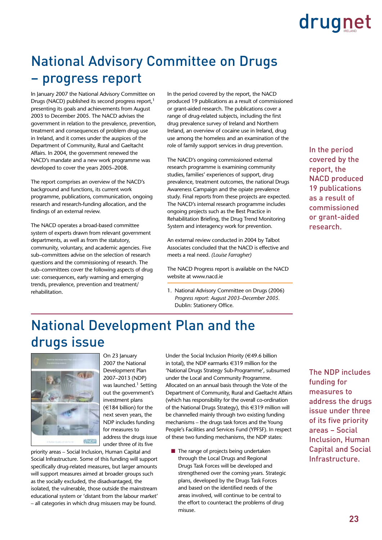### National Advisory Committee on Drugs – progress report

In January 2007 the National Advisory Committee on Drugs (NACD) published its second progress report,<sup>1</sup> presenting its goals and achievements from August 2003 to December 2005. The NACD advises the government in relation to the prevalence, prevention, treatment and consequences of problem drug use in Ireland, and it comes under the auspices of the Department of Community, Rural and Gaeltacht Affairs. In 2004, the government renewed the NACD's mandate and a new work programme was developed to cover the years 2005–2008.

The report comprises an overview of the NACD's background and functions, its current work programme, publications, communication, ongoing research and research-funding allocation, and the findings of an external review.

The NACD operates a broad-based committee system of experts drawn from relevant government departments, as well as from the statutory, community, voluntary, and academic agencies. Five sub–committees advise on the selection of research questions and the commissioning of research. The sub–committees cover the following aspects of drug use: consequences, early warning and emerging trends, prevalence, prevention and treatment/ rehabilitation.

In the period covered by the report, the NACD produced 19 publications as a result of commissioned or grant-aided research. The publications cover a range of drug-related subjects, including the first drug prevalence survey of Ireland and Northern Ireland, an overview of cocaine use in Ireland, drug use among the homeless and an examination of the role of family support services in drug prevention.

The NACD's ongoing commissioned external research programme is examining community studies, families' experiences of support, drug prevalence, treatment outcomes, the national Drugs Awareness Campaign and the opiate prevalence study. Final reports from these projects are expected. The NACD's internal research programme includes ongoing projects such as the Best Practice in Rehabilitation Briefing, the Drug Trend Monitoring System and interagency work for prevention.

An external review conducted in 2004 by Talbot Associates concluded that the NACD is effective and meets a real need. *(Louise Farragher)*

The NACD Progress report is available on the NACD website at www.nacd.ie

1. National Advisory Committee on Drugs (2006) *Progress report: August 2003–December 2005.*  Dublin: Stationery Office.

In the period covered by the report, the NACD produced 19 publications as a result of commissioned or grant-aided research.

### National Development Plan and the drugs issue



On 23 January 2007 the National Development Plan 2007–2013 (NDP) was launched.<sup>1</sup> Setting out the government's investment plans (€184 billion) for the next seven years, the NDP includes funding for measures to address the drugs issue under three of its five

priority areas – Social Inclusion, Human Capital and Social Infrastructure. Some of this funding will support specifically drug-related measures, but larger amounts will support measures aimed at broader groups such as the socially excluded, the disadvantaged, the isolated, the vulnerable, those outside the mainstream educational system or 'distant from the labour market' – all categories in which drug misusers may be found.

Under the Social Inclusion Priority (€49.6 billion in total), the NDP earmarks €319 million for the 'National Drugs Strategy Sub-Programme', subsumed under the Local and Community Programme. Allocated on an annual basis through the Vote of the Department of Community, Rural and Gaeltacht Affairs (which has responsibility for the overall co-ordination of the National Drugs Strategy), this €319 million will be channelled mainly through two existing funding mechanisms – the drugs task forces and the Young People's Facilities and Services Fund (YPFSF). In respect of these two funding mechanisms, the NDP states:

 $\blacksquare$  The range of projects being undertaken through the Local Drugs and Regional Drugs Task Forces will be developed and strengthened over the coming years. Strategic plans, developed by the Drugs Task Forces and based on the identified needs of the areas involved, will continue to be central to the effort to counteract the problems of drug misuse.

The NDP includes funding for measures to address the drugs issue under three of its five priority areas – Social Inclusion, Human Capital and Social Infrastructure.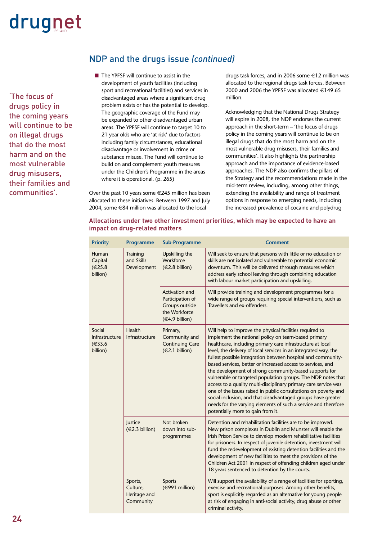'The focus of drugs policy in the coming years will continue to be on illegal drugs that do the most harm and on the most vulnerable drug misusers, their families and communities'.

### NDP and the drugs issue *(continued)*

 $\blacksquare$  The YPFSF will continue to assist in the development of youth facilities (including sport and recreational facilities) and services in disadvantaged areas where a significant drug problem exists or has the potential to develop. The geographic coverage of the Fund may be expanded to other disadvantaged urban areas. The YPFSF will continue to target 10 to 21 year olds who are 'at risk' due to factors including family circumstances, educational disadvantage or involvement in crime or substance misuse. The Fund will continue to build on and complement youth measures under the Children's Programme in the areas where it is operational. (p. 265)

Over the past 10 years some €245 million has been allocated to these initiatives. Between 1997 and July 2004, some €84 million was allocated to the local

drugs task forces, and in 2006 some €12 million was allocated to the regional drugs task forces. Between 2000 and 2006 the YPFSF was allocated €149.65 million.

Acknowledging that the National Drugs Strategy will expire in 2008, the NDP endorses the current approach in the short-term – 'the focus of drugs policy in the coming years will continue to be on illegal drugs that do the most harm and on the most vulnerable drug misusers, their families and communities'. It also highlights the partnership approach and the importance of evidence-based approaches. The NDP also confirms the pillars of the Strategy and the recommendations made in the mid-term review, including, among other things, extending the availability and range of treatment options in response to emerging needs, including the increased prevalence of cocaine and polydrug

### **Allocations under two other investment priorities, which may be expected to have an impact on drug-related matters**

| <b>Priority</b>                               | <b>Programme</b>                                 | <b>Sub-Programme</b>                                                                           | <b>Comment</b>                                                                                                                                                                                                                                                                                                                                                                                                                                                                                                                                                                                                                                                                                                                                                                                                         |
|-----------------------------------------------|--------------------------------------------------|------------------------------------------------------------------------------------------------|------------------------------------------------------------------------------------------------------------------------------------------------------------------------------------------------------------------------------------------------------------------------------------------------------------------------------------------------------------------------------------------------------------------------------------------------------------------------------------------------------------------------------------------------------------------------------------------------------------------------------------------------------------------------------------------------------------------------------------------------------------------------------------------------------------------------|
| Human<br>Capital<br>€25.8<br>billion)         | Training<br>and Skills<br>Development            | Upskilling the<br>Workforce<br>$(\in 2.8 \text{ billion})$                                     | Will seek to ensure that persons with little or no education or<br>skills are not isolated and vulnerable to potential economic<br>downturn. This will be delivered through measures which<br>address early school leaving through combining education<br>with labour market participation and upskilling.                                                                                                                                                                                                                                                                                                                                                                                                                                                                                                             |
|                                               |                                                  | <b>Activation and</b><br>Participation of<br>Groups outside<br>the Workforce<br>(€4.9 billion) | Will provide training and development programmes for a<br>wide range of groups requiring special interventions, such as<br>Travellers and ex-offenders.                                                                                                                                                                                                                                                                                                                                                                                                                                                                                                                                                                                                                                                                |
| Social<br>Infrastructure<br>€33.6<br>billion) | Health<br>Infrastructure                         | Primary,<br>Community and<br><b>Continuing Care</b><br>(€2.1 billion)                          | Will help to improve the physical facilities required to<br>implement the national policy on team-based primary<br>healthcare, including primary care infrastructure at local<br>level, the delivery of local services in an integrated way, the<br>fullest possible integration between hospital and community-<br>based services, better or increased access to services, and<br>the development of strong community-based supports for<br>vulnerable or targeted population groups. The NDP notes that<br>access to a quality multi-disciplinary primary care service was<br>one of the issues raised in public consultations on poverty and<br>social inclusion, and that disadvantaged groups have greater<br>needs for the varying elements of such a service and therefore<br>potentially more to gain from it. |
|                                               | Justice<br>(€2.3 billion)                        | Not broken<br>down into sub-<br>programmes                                                     | Detention and rehabilitation facilities are to be improved.<br>New prison complexes in Dublin and Munster will enable the<br>Irish Prison Service to develop modern rehabilitative facilities<br>for prisoners. In respect of juvenile detention, investment will<br>fund the redevelopment of existing detention facilities and the<br>development of new facilities to meet the provisions of the<br>Children Act 2001 in respect of offending children aged under<br>18 years sentenced to detention by the courts.                                                                                                                                                                                                                                                                                                 |
|                                               | Sports,<br>Culture,<br>Heritage and<br>Community | <b>Sports</b><br>$(\in 991$ million)                                                           | Will support the availability of a range of facilities for sporting,<br>exercise and recreational purposes. Among other benefits,<br>sport is explicitly regarded as an alternative for young people<br>at risk of engaging in anti-social activity, drug abuse or other<br>criminal activity.                                                                                                                                                                                                                                                                                                                                                                                                                                                                                                                         |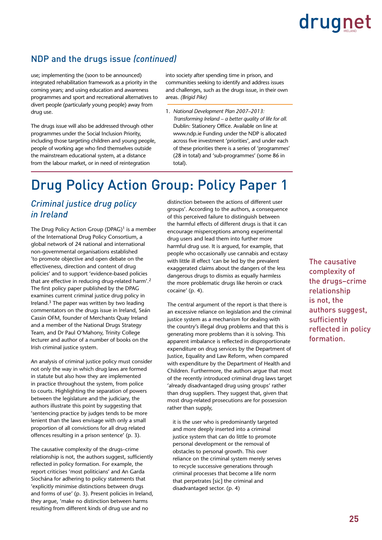### NDP and the drugs issue *(continued)*

use; implementing the (soon to be announced) integrated rehabilitation framework as a priority in the coming years; and using education and awareness programmes and sport and recreational alternatives to divert people (particularly young people) away from drug use.

The drugs issue will also be addressed through other programmes under the Social Inclusion Priority, including those targeting children and young people, people of working age who find themselves outside the mainstream educational system, at a distance from the labour market, or in need of reintegration

into society after spending time in prison, and communities seeking to identify and address issues and challenges, such as the drugs issue, in their own areas. *(Brigid Pike)*

1. *National Development Plan 2007–2013: Transforming Ireland – a better quality of life for all.* Dublin: Stationery Office. Available on line at www.ndp.ie Funding under the NDP is allocated across five investment 'priorities', and under each of these priorities there is a series of 'programmes' (28 in total) and 'sub-programmes' (some 86 in total).

### Drug Policy Action Group: Policy Paper 1

### *Criminal justice drug policy in Ireland*

The Drug Policy Action Group  $(DPAG)^1$  is a member of the International Drug Policy Consortium, a global network of 24 national and international non-governmental organisations established 'to promote objective and open debate on the effectiveness, direction and content of drug policies' and to support 'evidence-based policies that are effective in reducing drug-related harm'.2 The first policy paper published by the DPAG examines current criminal justice drug policy in Ireland.3 The paper was written by two leading commentators on the drugs issue in Ireland, Seán Cassin OFM, founder of Merchants Quay Ireland and a member of the National Drugs Strategy Team, and Dr Paul O'Mahony, Trinity College lecturer and author of a number of books on the Irish criminal justice system.

An analysis of criminal justice policy must consider not only the way in which drug laws are formed in statute but also how they are implemented in practice throughout the system, from police to courts. Highlighting the separation of powers between the legislature and the judiciary, the authors illustrate this point by suggesting that 'sentencing practice by judges tends to be more lenient than the laws envisage with only a small proportion of all convictions for all drug related offences resulting in a prison sentence' (p. 3).

The causative complexity of the drugs–crime relationship is not, the authors suggest, sufficiently reflected in policy formation. For example, the report criticises 'most politicians' and An Garda Siochána for adhering to policy statements that 'explicitly minimise distinctions between drugs and forms of use' (p. 3). Present policies in Ireland, they argue, 'make no distinction between harms resulting from different kinds of drug use and no

distinction between the actions of different user groups'. According to the authors, a consequence of this perceived failure to distinguish between the harmful effects of different drugs is that it can encourage misperceptions among experimental drug users and lead them into further more harmful drug use. It is argued, for example, that people who occasionally use cannabis and ecstasy with little ill effect 'can be led by the prevalent exaggerated claims about the dangers of the less dangerous drugs to dismiss as equally harmless the more problematic drugs like heroin or crack cocaine' (p. 4).

The central argument of the report is that there is an excessive reliance on legislation and the criminal justice system as a mechanism for dealing with the country's illegal drug problems and that this is generating more problems than it is solving. This apparent imbalance is reflected in disproportionate expenditure on drug services by the Department of Justice, Equality and Law Reform, when compared with expenditure by the Department of Health and Children. Furthermore, the authors argue that most of the recently introduced criminal drug laws target 'already disadvantaged drug using groups' rather than drug suppliers. They suggest that, given that most drug-related prosecutions are for possession rather than supply,

it is the user who is predominantly targeted and more deeply inserted into a criminal justice system that can do little to promote personal development or the removal of obstacles to personal growth. This over reliance on the criminal system merely serves to recycle successive generations through criminal processes that become a life norm that perpetrates [sic] the criminal and disadvantaged sector. (p. 4)

The causative complexity of the drugs–crime relationship is not, the authors suggest, sufficiently reflected in policy formation.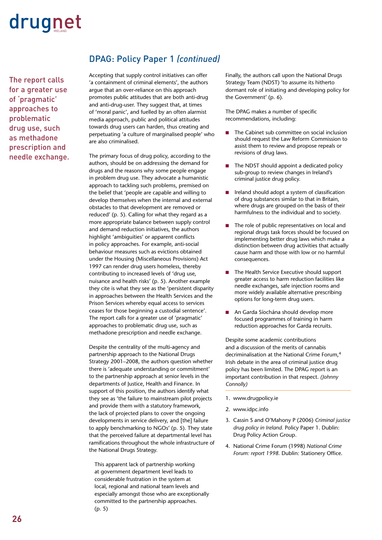The report calls for a greater use of 'pragmatic' approaches to problematic drug use, such as methadone prescription and needle exchange.

### DPAG: Policy Paper 1 *(continued)*

Accepting that supply control initiatives can offer 'a containment of criminal elements', the authors argue that an over-reliance on this approach promotes public attitudes that are both anti-drug and anti-drug-user. They suggest that, at times of 'moral panic', and fuelled by an often alarmist media approach, public and political attitudes towards drug users can harden, thus creating and perpetuating 'a culture of marginalised people' who are also criminalised.

The primary focus of drug policy, according to the authors, should be on addressing the demand for drugs and the reasons why some people engage in problem drug use. They advocate a humanistic approach to tackling such problems, premised on the belief that 'people are capable and willing to develop themselves when the internal and external obstacles to that development are removed or reduced' (p. 5). Calling for what they regard as a more appropriate balance between supply control and demand reduction initiatives, the authors highlight 'ambiguities' or apparent conflicts in policy approaches. For example, anti-social behaviour measures such as evictions obtained under the Housing (Miscellaneous Provisions) Act 1997 can render drug users homeless, thereby contributing to increased levels of 'drug use, nuisance and health risks' (p. 5). Another example they cite is what they see as the 'persistent disparity in approaches between the Health Services and the Prison Services whereby equal access to services ceases for those beginning a custodial sentence'. The report calls for a greater use of 'pragmatic' approaches to problematic drug use, such as methadone prescription and needle exchange.

Despite the centrality of the multi-agency and partnership approach to the National Drugs Strategy 2001–2008, the authors question whether there is 'adequate understanding or commitment' to the partnership approach at senior levels in the departments of Justice, Health and Finance. In support of this position, the authors identify what they see as 'the failure to mainstream pilot projects and provide them with a statutory framework, the lack of projected plans to cover the ongoing developments in service delivery, and [the] failure to apply benchmarking to NGOs' (p. 5). They state that the perceived failure at departmental level has ramifications throughout the whole infrastructure of the National Drugs Strategy.

This apparent lack of partnership working at government department level leads to considerable frustration in the system at local, regional and national team levels and especially amongst those who are exceptionally committed to the partnership approaches. (p. 5)

Finally, the authors call upon the National Drugs Strategy Team (NDST) 'to assume its hitherto dormant role of initiating and developing policy for the Government' (p. 6).

The DPAG makes a number of specific recommendations, including:

- The Cabinet sub committee on social inclusion should request the Law Reform Commission to assist them to review and propose repeals or revisions of drug laws. n
- The NDST should appoint a dedicated policy sub-group to review changes in Ireland's criminal justice drug policy. n
- Ireland should adopt a system of classification of drug substances similar to that in Britain, where drugs are grouped on the basis of their harmfulness to the individual and to society. n
- The role of public representatives on local and regional drugs task forces should be focused on implementing better drug laws which make a distinction between drug activities that actually cause harm and those with low or no harmful consequences. n
- The Health Service Executive should support greater access to harm reduction facilities like needle exchanges, safe injection rooms and more widely available alternative prescribing options for long-term drug users. n
- An Garda Síochána should develop more focused programmes of training in harm reduction approaches for Garda recruits.

Despite some academic contributions and a discussion of the merits of cannabis decriminalisation at the National Crime Forum,4 Irish debate in the area of criminal justice drug policy has been limited. The DPAG report is an important contribution in that respect. *(Johnny Connolly)*

- 1. www.drugpolicy.ie
- 2. www.idpc.info
- 3. Cassin S and O'Mahony P (2006) *Criminal justice drug policy in Ireland.* Policy Paper 1. Dublin: Drug Policy Action Group.
- 4. National Crime Forum (1998) *National Crime Forum: report 1998.* Dublin: Stationery Office.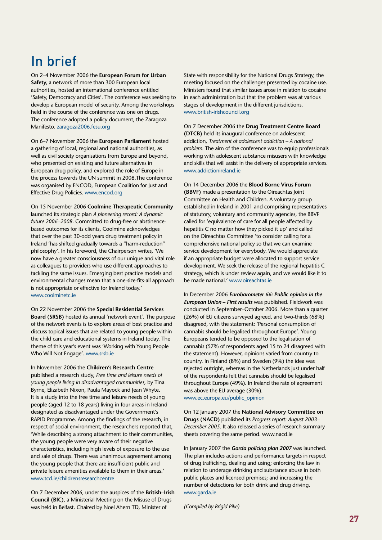### In brief

On 2–4 November 2006 the **European Forum for Urban Safety,** a network of more than 300 European local authorities, hosted an international conference entitled 'Safety, Democracy and Cities'. The conference was seeking to develop a European model of security. Among the workshops held in the course of the conference was one on drugs. The conference adopted a policy document, the Zaragoza Manifesto. zaragoza2006.fesu.org

On 6–7 November 2006 the **European Parliament** hosted a gathering of local, regional and national authorities, as well as civil society organisations from Europe and beyond, who presented on existing and future alternatives in European drug policy, and explored the role of Europe in the process towards the UN summit in 2008.The conference was organised by ENCOD, European Coalition for Just and Effective Drug Policies. www.encod.org

On 15 November 2006 **Coolmine Therapeutic Community** launched its strategic plan *A pioneering record: A dynamic future 2006–2008.* Committed to drug-free or abstinencebased outcomes for its clients, Coolmine acknowledges that over the past 30-odd years drug treatment policy in Ireland 'has shifted gradually towards a "harm-reduction" philosophy'. In his foreword, the Chairperson writes, 'We now have a greater consciousness of our unique and vital role as colleagues to providers who use different approaches to tackling the same issues. Emerging best practice models and environmental changes mean that a one-size-fits-all approach is not appropriate or effective for Ireland today.' www.coolminetc.ie

On 22 November 2006 the **Special Residential Services Board (SRSB)** hosted its annual 'network event'. The purpose of the network events is to explore areas of best practice and discuss topical issues that are related to young people within the child care and educational systems in Ireland today. The theme of this year's event was 'Working with Young People Who Will Not Engage'. www.srsb.ie

In November 2006 the **Children's Research Centre** published a research study, *Free time and leisure needs of young people living in disadvantaged communities,* by Tina Byrne, Elizabeth Nixon, Paula Mayock and Jean Whyte. It is a study into the free time and leisure needs of young people (aged 12 to 18 years) living in four areas in Ireland designated as disadvantaged under the Government's RAPID Programme. Among the findings of the research, in respect of social environment, the researchers reported that, 'While describing a strong attachment to their communities, the young people were very aware of their negative characteristics, including high levels of exposure to the use and sale of drugs. There was unanimous agreement among the young people that there are insufficient public and private leisure amenities available to them in their areas.' www.tcd.ie/childrensresearchcentre

On 7 December 2006, under the auspices of the **British–Irish Council (BIC),** a Ministerial Meeting on the Misuse of Drugs was held in Belfast. Chaired by Noel Ahern TD, Minister of

State with responsibility for the National Drugs Strategy, the meeting focused on the challenges presented by cocaine use. Ministers found that similar issues arose in relation to cocaine in each administration but that the problem was at various stages of development in the different jurisdictions. www.british-irishcouncil.org

On 7 December 2006 the **Drug Treatment Centre Board (DTCB)** held its inaugural conference on adolescent addiction, *Treatment of adolescent addiction – A national problem.* The aim of the conference was to equip professionals working with adolescent substance misusers with knowledge and skills that will assist in the delivery of appropriate services. www.addictionireland.ie

On 14 December 2006 the **Blood Borne Virus Forum (BBVF)** made a presentation to the Oireachtas Joint Committee on Health and Children. A voluntary group established in Ireland in 2001 and comprising representatives of statutory, voluntary and community agencies, the BBVF called for 'equivalence of care for all people affected by hepatitis C no matter how they picked it up' and called on the Oireachtas Committee 'to consider calling for a comprehensive national policy so that we can examine service development for everybody. We would appreciate if an appropriate budget were allocated to support service development. We seek the release of the regional hepatitis C strategy, which is under review again, and we would like it to be made national.' www.oireachtas.ie

In December 2006 *Eurobarometer 66: Public opinion in the European Union – First results* was published. Fieldwork was conducted in September–October 2006. More than a quarter (26%) of EU citizens surveyed agreed, and two-thirds (68%) disagreed, with the statement: 'Personal consumption of cannabis should be legalised throughout Europe'. Young Europeans tended to be opposed to the legalisation of cannabis (57% of respondents aged 15 to 24 disagreed with the statement). However, opinions varied from country to country. In Finland (8%) and Sweden (9%) the idea was rejected outright, whereas in the Netherlands just under half of the respondents felt that cannabis should be legalised throughout Europe (49%). In Ireland the rate of agreement was above the EU average (30%).

www.ec.europa.eu/public\_opinion

On 12 January 2007 the **National Advisory Committee on Drugs (NACD)** published its *Progress report: August 2003– December 2005.* It also released a series of research summary sheets covering the same period. www.nacd.ie

In January 2007 the *Garda policing plan 2007* was launched. The plan includes actions and performance targets in respect of drug trafficking, dealing and using; enforcing the law in relation to underage drinking and substance abuse in both public places and licensed premises; and increasing the number of detections for both drink and drug driving. www.garda.ie

*(Compiled by Brigid Pike)*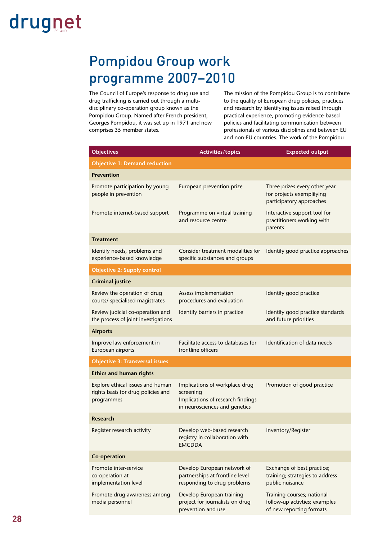### Pompidou Group work programme 2007–2010

The Council of Europe's response to drug use and drug trafficking is carried out through a multidisciplinary co-operation group known as the Pompidou Group. Named after French president, Georges Pompidou, it was set up in 1971 and now comprises 35 member states.

The mission of the Pompidou Group is to contribute to the quality of European drug policies, practices and research by identifying issues raised through practical experience, promoting evidence-based policies and facilitating communication between professionals of various disciplines and between EU and non-EU countries. The work of the Pompidou

| <b>Objectives</b>                                                                    | <b>Activities/topics</b>                                                                                          | <b>Expected output</b>                                                                  |  |
|--------------------------------------------------------------------------------------|-------------------------------------------------------------------------------------------------------------------|-----------------------------------------------------------------------------------------|--|
| <b>Objective 1: Demand reduction</b>                                                 |                                                                                                                   |                                                                                         |  |
| <b>Prevention</b>                                                                    |                                                                                                                   |                                                                                         |  |
| Promote participation by young<br>people in prevention                               | European prevention prize                                                                                         | Three prizes every other year<br>for projects exemplifying<br>participatory approaches  |  |
| Promote internet-based support                                                       | Programme on virtual training<br>and resource centre                                                              | Interactive support tool for<br>practitioners working with<br>parents                   |  |
| <b>Treatment</b>                                                                     |                                                                                                                   |                                                                                         |  |
| Identify needs, problems and<br>experience-based knowledge                           | Consider treatment modalities for<br>specific substances and groups                                               | Identify good practice approaches                                                       |  |
| <b>Objective 2: Supply control</b>                                                   |                                                                                                                   |                                                                                         |  |
| <b>Criminal justice</b>                                                              |                                                                                                                   |                                                                                         |  |
| Review the operation of drug<br>courts/ specialised magistrates                      | Assess implementation<br>procedures and evaluation                                                                | Identify good practice                                                                  |  |
| Review judicial co-operation and<br>the process of joint investigations              | Identify barriers in practice                                                                                     | Identify good practice standards<br>and future priorities                               |  |
| <b>Airports</b>                                                                      |                                                                                                                   |                                                                                         |  |
| Improve law enforcement in<br>European airports                                      | Facilitate access to databases for<br>frontline officers                                                          | Identification of data needs                                                            |  |
| <b>Objective 3: Transversal issues</b>                                               |                                                                                                                   |                                                                                         |  |
| <b>Ethics and human rights</b>                                                       |                                                                                                                   |                                                                                         |  |
| Explore ethical issues and human<br>rights basis for drug policies and<br>programmes | Implications of workplace drug<br>screening<br>Implications of research findings<br>in neurosciences and genetics | Promotion of good practice                                                              |  |
| Research                                                                             |                                                                                                                   |                                                                                         |  |
| Register research activity                                                           | Develop web-based research<br>registry in collaboration with<br><b>EMCDDA</b>                                     | Inventory/Register                                                                      |  |
| Co-operation                                                                         |                                                                                                                   |                                                                                         |  |
| Promote inter-service<br>co-operation at<br>implementation level                     | Develop European network of<br>partnerships at frontline level<br>responding to drug problems                     | Exchange of best practice;<br>training; strategies to address<br>public nuisance        |  |
| Promote drug awareness among<br>media personnel                                      | Develop European training<br>project for journalists on drug<br>prevention and use                                | Training courses; national<br>follow-up activties; examples<br>of new reporting formats |  |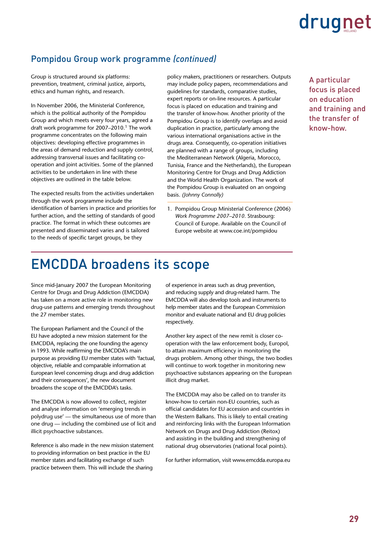### Pompidou Group work programme *(continued)*

Group is structured around six platforms: prevention, treatment, criminal justice, airports, ethics and human rights, and research.

In November 2006, the Ministerial Conference, which is the political authority of the Pompidou Group and which meets every four years, agreed a draft work programme for 2007–2010.<sup>1</sup> The work programme concentrates on the following main objectives: developing effective programmes in the areas of demand reduction and supply control, addressing transversal issues and facilitating cooperation and joint activities. Some of the planned activities to be undertaken in line with these objectives are outlined in the table below.

The expected results from the activities undertaken through the work programme include the identification of barriers in practice and priorities for further action, and the setting of standards of good practice. The format in which these outcomes are presented and disseminated varies and is tailored to the needs of specific target groups, be they

policy makers, practitioners or researchers. Outputs may include policy papers, recommendations and guidelines for standards, comparative studies, expert reports or on-line resources. A particular focus is placed on education and training and the transfer of know-how. Another priority of the Pompidou Group is to identify overlaps and avoid duplication in practice, particularly among the various international organisations active in the drugs area. Consequently, co-operation initiatives are planned with a range of groups, including the Mediterranean Network (Algeria, Morocco, Tunisia, France and the Netherlands), the European Monitoring Centre for Drugs and Drug Addiction and the World Health Organization. The work of the Pompidou Group is evaluated on an ongoing basis. *(Johnny Connolly)*

1. Pompidou Group Ministerial Conference (2006) *Work Programme 2007–2010.* Strasbourg: Council of Europe. Available on the Council of Europe website at www.coe.int/pompidou

A particular focus is placed on education and training and the transfer of know-how.

### EMCDDA broadens its scope

Since mid-January 2007 the European Monitoring Centre for Drugs and Drug Addiction (EMCDDA) has taken on a more active role in monitoring new drug-use patterns and emerging trends throughout the 27 member states.

The European Parliament and the Council of the EU have adopted a new mission statement for the EMCDDA, replacing the one founding the agency in 1993. While reaffirming the EMCDDA's main purpose as providing EU member states with 'factual, objective, reliable and comparable information at European level concerning drugs and drug addiction and their consequences', the new document broadens the scope of the EMCDDA's tasks.

The EMCDDA is now allowed to collect, register and analyse information on 'emerging trends in polydrug use' — the simultaneous use of more than one drug — including the combined use of licit and illicit psychoactive substances.

Reference is also made in the new mission statement to providing information on best practice in the EU member states and facilitating exchange of such practice between them. This will include the sharing

of experience in areas such as drug prevention, and reducing supply and drug-related harm. The EMCDDA will also develop tools and instruments to help member states and the European Commission monitor and evaluate national and EU drug policies respectively.

Another key aspect of the new remit is closer cooperation with the law enforcement body, Europol, to attain maximum efficiency in monitoring the drugs problem. Among other things, the two bodies will continue to work together in monitoring new psychoactive substances appearing on the European illicit drug market.

The EMCDDA may also be called on to transfer its know-how to certain non-EU countries, such as official candidates for EU accession and countries in the Western Balkans. This is likely to entail creating and reinforcing links with the European Information Network on Drugs and Drug Addiction (Reitox) and assisting in the building and strengthening of national drug observatories (national focal points).

For further information, visit www.emcdda.europa.eu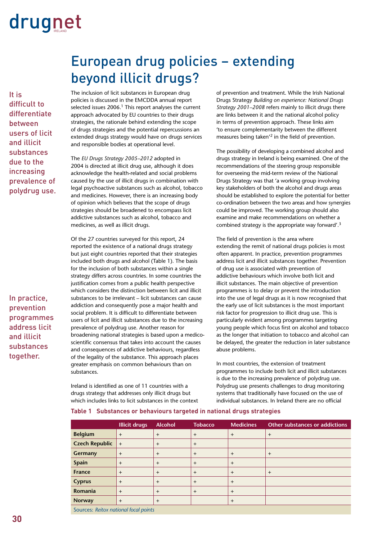It is difficult to differentiate between users of licit and illicit substances due to the increasing prevalence of polydrug use.

In practice, prevention programmes address licit and illicit substances together.

### European drug policies – extending beyond illicit drugs?

The inclusion of licit substances in European drug policies is discussed in the EMCDDA annual report selected issues 2006.<sup>1</sup> This report analyses the current approach advocated by EU countries to their drugs strategies, the rationale behind extending the scope of drugs strategies and the potential repercussions an extended drugs strategy would have on drugs services and responsible bodies at operational level.

The *EU Drugs Strategy 2005–2012* adopted in 2004 is directed at illicit drug use, although it does acknowledge the health-related and social problems caused by the use of illicit drugs in combination with legal psychoactive substances such as alcohol, tobacco and medicines. However, there is an increasing body of opinion which believes that the scope of drugs strategies should be broadened to encompass licit addictive substances such as alcohol, tobacco and medicines, as well as illicit drugs.

Of the 27 countries surveyed for this report, 24 reported the existence of a national drugs strategy but just eight countries reported that their strategies included both drugs and alcohol (Table 1). The basis for the inclusion of both substances within a single strategy differs across countries. In some countries the justification comes from a public health perspective which considers the distinction between licit and illicit substances to be irrelevant – licit substances can cause addiction and consequently pose a major health and social problem. It is difficult to differentiate between users of licit and illicit substances due to the increasing prevalence of polydrug use. Another reason for broadening national strategies is based upon a medicoscientific consensus that takes into account the causes and consequences of addictive behaviours, regardless of the legality of the substance. This approach places greater emphasis on common behaviours than on substances.

Ireland is identified as one of 11 countries with a drugs strategy that addresses only illicit drugs but which includes links to licit substances in the context of prevention and treatment. While the Irish National Drugs Strategy *Building on experience: National Drugs Strategy 2001–2008* refers mainly to illicit drugs there are links between it and the national alcohol policy in terms of prevention approach. These links aim 'to ensure complementarity between the different measures being taken'2 in the field of prevention.

The possibility of developing a combined alcohol and drugs strategy in Ireland is being examined. One of the recommendations of the steering group responsible for overseeing the mid-term review of the National Drugs Strategy was that 'a working group involving key stakeholders of both the alcohol and drugs areas should be established to explore the potential for better co-ordination between the two areas and how synergies could be improved. The working group should also examine and make recommendations on whether a combined strategy is the appropriate way forward'.3

The field of prevention is the area where extending the remit of national drugs policies is most often apparent. In practice, prevention programmes address licit and illicit substances together. Prevention of drug use is associated with prevention of addictive behaviours which involve both licit and illicit substances. The main objective of prevention programmes is to delay or prevent the introduction into the use of legal drugs as it is now recognised that the early use of licit substances is the most important risk factor for progression to illicit drug use. This is particularly evident among programmes targeting young people which focus first on alcohol and tobacco as the longer that initiation to tobacco and alcohol can be delayed, the greater the reduction in later substance abuse problems.

In most countries, the extension of treatment programmes to include both licit and illicit substances is due to the increasing prevalence of polydrug use. Polydrug use presents challenges to drug monitoring systems that traditionally have focused on the use of individual substances. In Ireland there are no official

|                       | <b>Illicit drugs</b> | <b>Alcohol</b> | <b>Tobacco</b> | <b>Medicines</b> | Other substances or addictions |  |
|-----------------------|----------------------|----------------|----------------|------------------|--------------------------------|--|
| <b>Belgium</b>        | $+$                  | $+$            | $^{+}$         | $+$              | $+$                            |  |
| <b>Czech Republic</b> | $+$                  | $+$            | $^{+}$         |                  |                                |  |
| Germany               | $+$                  | $+$            | $\ddot{}$      | $+$              | $+$                            |  |
| Spain                 | $+$                  | $+$            | $\ddot{}$      | $+$              |                                |  |
| <b>France</b>         | $+$                  | $+$            | $\ddot{}$      | $+$              | $+$                            |  |
| <b>Cyprus</b>         | $+$                  | $+$            | $\ddot{}$      | $+$              |                                |  |
| Romania               | $+$                  | $+$            | $\ddot{}$      | $+$              |                                |  |
| <b>Norway</b>         | $^{+}$               | $\ddot{}$      |                | $\div$           |                                |  |
|                       |                      |                |                |                  |                                |  |

### **Table 1 Substances or behaviours targeted in national drugs strategies**

Sources: *Reitox national focal points*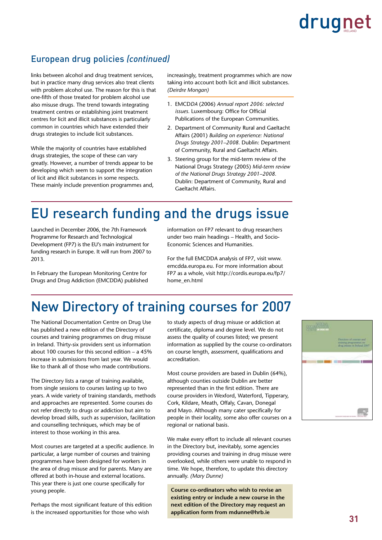### European drug policies *(continued)*

links between alcohol and drug treatment services, but in practice many drug services also treat clients with problem alcohol use. The reason for this is that one-fifth of those treated for problem alcohol use also misuse drugs. The trend towards integrating treatment centres or establishing joint treatment centres for licit and illicit substances is particularly common in countries which have extended their drugs strategies to include licit substances.

While the majority of countries have established drugs strategies, the scope of these can vary greatly. However, a number of trends appear to be developing which seem to support the integration of licit and illicit substances in some respects. These mainly include prevention programmes and, increasingly, treatment programmes which are now taking into account both licit and illicit substances. *(Deirdre Mongan)*

- 1. EMCD*DA* (2006) *Annual report 2006: selected issues.* Luxembourg: Office for Official Publications of the European Communities.
- 2. Department of Community Rural and Gaeltacht Affairs (2001) *Building on experience: National Drugs Strategy 2001–2008.* Dublin: Department of Community, Rural and Gaeltacht Affairs.
- 3. Steering group for the mid-term review of the National Drugs Strategy (2005) *Mid-term review of the National Drugs Strategy 2001–2008.*  Dublin: Department of Community, Rural and Gaeltacht Affairs.

### EU research funding and the drugs issue

Launched in December 2006, the 7th Framework Programme for Research and Technological Development (FP7) is the EU's main instrument for funding research in Europe. It will run from 2007 to 2013.

In February the European Monitoring Centre for Drugs and Drug Addiction (EMCDDA) published information on FP7 relevant to drug researchers under two main headings – Health, and Socio-Economic Sciences and Humanities.

For the full EMCDDA analysis of FP7, visit www. emcdda.europa.eu. For more information about FP7 as a whole, visit http://cordis.europa.eu/fp7/ home\_en.html

### New Directory of training courses for 2007

The National Documentation Centre on Drug Use has published a new edition of the Directory of courses and training programmes on drug misuse in Ireland. Thirty-six providers sent us information about 100 courses for this second edition – a 45% increase in submissions from last year. We would like to thank all of those who made contributions.

The Directory lists a range of training available, from single sessions to courses lasting up to two years. A wide variety of training standards, methods and approaches are represented. Some courses do not refer directly to drugs or addiction but aim to develop broad skills, such as supervision, facilitation and counselling techniques, which may be of interest to those working in this area.

Most courses are targeted at a specific audience. In particular, a large number of courses and training programmes have been designed for workers in the area of drug misuse and for parents. Many are offered at both in-house and external locations. This year there is just one course specifically for young people.

Perhaps the most significant feature of this edition is the increased opportunities for those who wish

to study aspects of drug misuse or addiction at certificate, diploma and degree level. We do not assess the quality of courses listed; we present information as supplied by the course co-ordinators on course length, assessment, qualifications and accreditation.

Most course providers are based in Dublin (64%), although counties outside Dublin are better represented than in the first edition. There are course providers in Wexford, Waterford, Tipperary, Cork, Kildare, Meath, Offaly, Cavan, Donegal and Mayo. Although many cater specifically for people in their locality, some also offer courses on a regional or national basis.

We make every effort to include all relevant courses in the Directory but, inevitably, some agencies providing courses and training in drug misuse were overlooked, while others were unable to respond in time. We hope, therefore, to update this directory annually. *(Mary Dunne)*

**Course co-ordinators who wish to revise an existing entry or include a new course in the next edition of the Directory may request an application form from mdunne@hrb.ie**

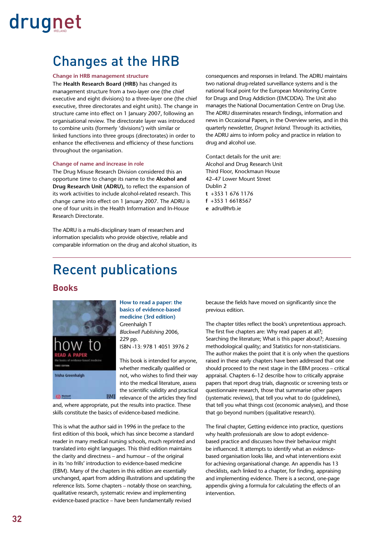### Changes at the HRB

### **Change in HRB management structure**

The **Health Research Board (HRB)** has changed its management structure from a two-layer one (the chief executive and eight divisions) to a three-layer one (the chief executive, three directorates and eight units). The change in structure came into effect on 1 January 2007, following an organisational review. The directorate layer was introduced to combine units (formerly 'divisions') with similar or linked functions into three groups (directorates) in order to enhance the effectiveness and efficiency of these functions throughout the organisation.

### **Change of name and increase in role**

The Drug Misuse Research Division considered this an opportune time to change its name to the **Alcohol and Drug Research Unit (ADRU),** to reflect the expansion of its work activities to include alcohol-related research. This change came into effect on 1 January 2007. The ADRU is one of four units in the Health Information and In-House Research Directorate.

The ADRU is a multi-disciplinary team of researchers and information specialists who provide objective, reliable and comparable information on the drug and alcohol situation, its consequences and responses in Ireland. The ADRU maintains two national drug-related surveillance systems and is the national focal point for the European Monitoring Centre for Drugs and Drug Addiction (EMCDDA). The Unit also manages the National Documentation Centre on Drug Use. The ADRU disseminates research findings, information and news in Occasional Papers, in the Overview series, and in this quarterly newsletter, *Drugnet Ireland.* Through its activities, the ADRU aims to inform policy and practice in relation to drug and alcohol use.

Contact details for the unit are: Alcohol and Drug Research Unit Third Floor, Knockmaun House 42–47 Lower Mount Street Dublin 2 **t** +353 1 676 1176 **f** +353 1 6618567 **e** adru@hrb.ie

### Recent publications

### **Books**



### **How to read a paper: the basics of evidence-based medicine (3rd edition)** Greenhalgh T *Blackwell Publishing* 2006, 229 pp.

ISBN -13: 978 1 4051 3976 2

This book is intended for anyone, whether medically qualified or not, who wishes to find their way into the medical literature, assess the scientific validity and practical relevance of the articles they find

and, where appropriate, put the results into practice. These skills constitute the basics of evidence-based medicine.

BMJ

This is what the author said in 1996 in the preface to the first edition of this book, which has since become a standard reader in many medical nursing schools, much reprinted and translated into eight languages. This third edition maintains the clarity and directness – and humour – of the original in its 'no frills' introduction to evidence-based medicine (EBM). Many of the chapters in this edition are essentially unchanged, apart from adding illustrations and updating the reference lists. Some chapters – notably those on searching, qualitative research, systematic review and implementing evidence-based practice – have been fundamentally revised

because the fields have moved on significantly since the previous edition.

The chapter titles reflect the book's unpretentious approach. The first five chapters are: Why read papers at all?; Searching the literature; What is this paper about?; Assessing methodological quality; and Statistics for non-statisticians. The author makes the point that it is only when the questions raised in these early chapters have been addressed that one should proceed to the next stage in the EBM process – critical appraisal. Chapters 6–12 describe how to critically appraise papers that report drug trials, diagnostic or screening tests or questionnaire research, those that summarise other papers (systematic reviews), that tell you what to do (quidelines). that tell you what things cost (economic analyses), and those that go beyond numbers (qualitative research).

The final chapter, Getting evidence into practice, questions why health professionals are slow to adopt evidencebased practice and discusses how their behaviour might be influenced. It attempts to identify what an evidencebased organisation looks like, and what interventions exist for achieving organisational change. An appendix has 13 checklists, each linked to a chapter, for finding, appraising and implementing evidence. There is a second, one-page appendix giving a formula for calculating the effects of an intervention.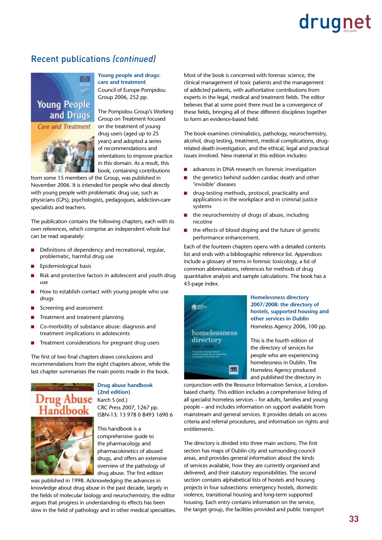### Recent publications *(continued)*





**Young people and drugs: care and treatment**

Council of Europe Pompidou Group 2006, 252 pp.

The Pompidou Group's Working Group on Treatment focused on the treatment of young drug users (aged up to 25 years) and adopted a series of recommendations and orientations to improve practice in this domain. As a result, this book, containing contributions

from some 15 members of the Group, was published in November 2006. It is intended for people who deal directly with young people with problematic drug use, such as physicians (GPs), psychologists, pedagogues, addiction-care specialists and teachers.

The publication contains the following chapters, each with its own references, which comprise an independent whole but can be read separately:

- Definitions of dependency and recreational, regular, problematic, harmful drug use n
- Epidemiological basis n
- Risk and protective factors in adolescent and youth drug use n
- How to establish contact with young people who use drugs n
- Screening and assessment n
- Treatment and treatment planning n
- Co-morbidity of substance abuse: diagnosis and treatment implications in adolescents n
- Treatment considerations for pregnant drug users n

The first of two final chapters draws conclusions and recommendations from the eight chapters above, while the last chapter summarises the main points made in the book.



**Drug abuse handbook (2nd edition)** Karch S (ed.) CRC Press 2007, 1267 pp. ISBN-13: 13 978 0 8493 1690 6

This handbook is a comprehensive guide to the pharmacology and pharmacokinetics of abused drugs, and offers an extensive overview of the pathology of drug abuse. The first edition

was published in 1998. Acknowledging the advances in knowledge about drug abuse in the past decade, largely in the fields of molecular biology and neurochemistry, the editor argues that progress in understanding its effects has been slow in the field of pathology and in other medical specialities. Most of the book is concerned with forensic science, the clinical management of toxic patients and the management of addicted patients, with authoritative contributions from experts in the legal, medical and treatment fields. The editor believes that at some point there must be a convergence of these fields, bringing all of these different disciplines together to form an evidence-based field.

The book examines criminalistics, pathology, neurochemistry, alcohol, drug testing, treatment, medical complications, drugrelated death investigation, and the ethical, legal and practical issues involved. New material in this edition includes:

- advances in DNA research on forensic investigation n
- the genetics behind sudden cardiac death and other 'invisible' diseases n
- drug-testing methods, protocol, practicality and applications in the workplace and in criminal justice systems n
- the neurochemistry of drugs of abuse, including nicotine n
- the effects of blood doping and the future of genetic performance enhancement. n

Each of the fourteen chapters opens with a detailed contents list and ends with a bibliographic reference list. Appendices include a glossary of terms in forensic toxicology, a list of common abbreviations, references for methods of drug quantitative analysis and sample calculations. The book has a 43-page index.



**Homelessness directory 2007/2008: the directory of hostels, supported housing and other services in Dublin** Homeless Agency 2006, 100 pp.

This is the fourth edition of the directory of services for people who are experiencing homelessness in Dublin. The Homeless Agency produced and published the directory in

conjunction with the Resource Information Service, a Londonbased charity. This edition includes a comprehensive listing of all specialist homeless services – for adults, families and young people – and includes information on support available from mainstream and general services. It provides details on access criteria and referral procedures, and information on rights and entitlements.

The directory is divided into three main sections. The first section has maps of Dublin city and surrounding council areas, and provides general information about the kinds of services available, how they are currently organised and delivered, and their statutory responsibilities. The second section contains alphabetical lists of hostels and housing projects in four subsections: emergency hostels, domestic violence, transitional housing and long-term supported housing. Each entry contains information on the service, the target group, the facilities provided and public transport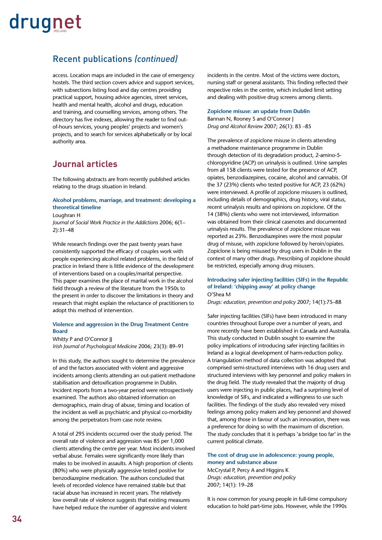### Recent publications *(continued)*

access. Location maps are included in the case of emergency hostels. The third section covers advice and support services, with subsections listing food and day centres providing practical support, housing advice agencies, street services, health and mental health, alcohol and drugs, education and training, and counselling services, among others. The directory has five indexes, allowing the reader to find outof-hours services, young peoples' projects and women's projects, and to search for services alphabetically or by local authority area.

### **Journal articles**

The following abstracts are from recently published articles relating to the drugs situation in Ireland.

### **Alcohol problems, marriage, and treatment: developing a theoretical timeline**

Loughran H

*Journal of Social Work Practice in the Addictions* 2006; 6(1– 2):31–48

While research findings over the past twenty years have consistently supported the efficacy of couples work with people experiencing alcohol related problems, in the field of practice in Ireland there is little evidence of the development of interventions based on a couples/marital perspective. This paper examines the place of marital work in the alcohol field through a review of the literature from the 1950s to the present in order to discover the limitations in theory and research that might explain the reluctance of practitioners to adopt this method of intervention.

### **Violence and aggression in the Drug Treatment Centre Board**

Whitty P and O'Connor II *Irish Journal of Psychological Medicine* 2006; 23(3): 89–91

In this study, the authors sought to determine the prevalence of and the factors associated with violent and aggressive incidents among clients attending an out-patient methadone stabilisation and detoxification programme in Dublin. Incident reports from a two-year period were retrospectively examined. The authors also obtained information on demographics, main drug of abuse, timing and location of the incident as well as psychiatric and physical co-morbidity among the perpetrators from case note review.

A total of 295 incidents occurred over the study period. The overall rate of violence and aggression was 85 per 1,000 clients attending the centre per year. Most incidents involved verbal abuse. Females were significantly more likely than males to be involved in assaults. A high proportion of clients (80%) who were physically aggressive tested positive for benzodiazepine medication. The authors concluded that levels of recorded violence have remained stable but that racial abuse has increased in recent years. The relatively low overall rate of violence suggests that existing measures have helped reduce the number of aggressive and violent

incidents in the centre. Most of the victims were doctors, nursing staff or general assistants. This finding reflected their respective roles in the centre, which included limit setting and dealing with positive drug screens among clients.

#### **Zopiclone misuse: an update from Dublin**

Bannan N, Rooney S and O'Connor J *Drug and Alcohol Review* 2007; 26(1): 83 –85

The prevalence of zopiclone misuse in clients attending a methadone maintenance programme in Dublin through detection of its degradation product, 2-amino-5 chloropyridine (ACP) on urinalysis is outlined. Urine samples from all 158 clients were tested for the presence of ACP, opiates, benzodiazepines, cocaine, alcohol and cannabis. Of the 37 (23%) clients who tested positive for ACP, 23 (62%) were interviewed. A profile of zopiclone misusers is outlined, including details of demographics, drug history, viral status, recent urinalysis results and opinions on zopiclone. Of the 14 (38%) clients who were not interviewed, information was obtained from their clinical casenotes and documented urinalysis results. The prevalence of zopiclone misuse was reported as 23%. Benzodiazepines were the most popular drug of misuse, with zopiclone followed by heroin/opiates. Zopiclone is being misused by drug users in Dublin in the context of many other drugs. Prescribing of zopiclone should be restricted, especially among drug misusers.

#### **Introducing safer injecting facilities (SIFs) in the Republic of Ireland: 'chipping away' at policy change** O'Shea M

*Drugs: education, prevention and policy* 2007; 14(1):75–88

Safer injecting facilities (SIFs) have been introduced in many countries throughout Europe over a number of years, and more recently have been established in Canada and Australia. This study conducted in Dublin sought to examine the policy implications of introducing safer injecting facilities in Ireland as a logical development of harm-reduction policy. A triangulation method of data collection was adopted that comprised semi-structured interviews with 16 drug users and structured interviews with key personnel and policy makers in the drug field. The study revealed that the majority of drug users were injecting in public places, had a surprising level of knowledge of SIFs, and indicated a willingness to use such facilities. The findings of the study also revealed very mixed feelings among policy makers and key personnel and showed that, among those in favour of such an innovation, there was a preference for doing so with the maximum of discretion. The study concludes that it is perhaps 'a bridge too far' in the current political climate.

### **The cost of drug use in adolescence: young people, money and substance abuse**

McCrystal P, Percy A and Higgins K *Drugs: education, prevention and policy* 2007; 14(1): 19–28

It is now common for young people in full-time compulsory education to hold part-time jobs. However, while the 1990s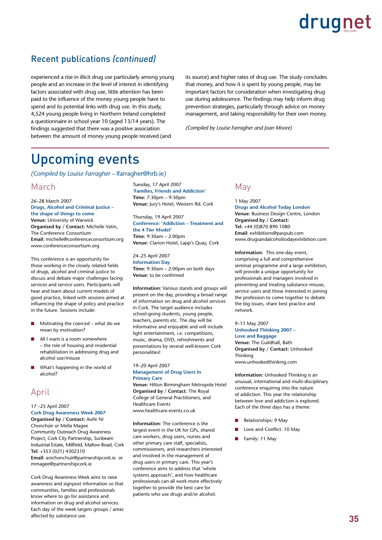### Recent publications *(continued)*

experienced a rise in illicit drug use particularly among young people and an increase in the level of interest in identifying factors associated with drug use, little attention has been paid to the influence of the money young people have to spend and its potential links with drug use. In this study, 4,524 young people living in Northern Ireland completed a questionnaire in school year 10 (aged 13/14 years). The findings suggested that there was a positive association between the amount of money young people received (and

its source) and higher rates of drug use. The study concludes that money, and how it is spent by young people, may be important factors for consideration when investigating drug use during adolescence. The findings may help inform drug prevention strategies, particularly through advice on money management, and taking responsibility for their own money.

*(Compiled by Louise Farragher and Joan Moore)*

### Upcoming events

*(Compiled by Louise Farragher –* lfarragher@hrb.ie*)*

### March

26–28 March 2007 **Drugs, Alcohol and Criminal Justice – the shape of things to come Venue:** University of Warwick **Organised by / Contact:** Michelle Vatin, The Conference Consortium **Email:** michelle@conferenceconsortium.org www.conferenceconsortium.org

This conference is an opportunity for those working in the closely related fields of drugs, alcohol and criminal justice to discuss and debate major challenges facing services and service users. Participants will hear and learn about current models of good practice, linked with sessions aimed at influencing the shape of policy and practice in the future. Sessions include:

- Motivating the coerced what do we mean by motivation? n
- All I want is a room somewhere – the role of housing and residential rehabilitation in addressing drug and alcohol use/misuse n
- What's happening in the world of alcohol? n

### April

#### 17 –25 April 2007 **Cork Drug Awareness Week 2007**

**Organised by / Contact:** Aoife Ní Chonchúir or Mella Magee Community Outreach Drug Awareness Project, Cork City Partnership, Sunbeam Industrial Estate, Millfield, Mallow Road, Cork **Tel:** +353 (021) 4302310 **Email:** anichonchuir@partnershipcork.ie or mmagee@partnershipcork.ie

Cork Drug Awareness Week aims to raise awareness and signpost information so that communities, families and professionals know where to go for assistance and information on drug and alcohol services. Each day of the week targets groups / areas affected by substance use.

Tuesday, 17 April 2007 **'Families, Friends and Addiction' Time:** 7:30pm – 9:30pm **Venue:** Jury's Hotel, Western Rd. Cork

Thursday, 19 April 2007 **Conference: 'Addiction – Treatment and the 4 Tier Model' Time:** 9:30am – 2:00pm **Venue:** Clarion Hotel, Lapp's Quay, Cork

24–25 April 2007 **Information Day Time:** 9:30am – 2:00pm on both days **Venue:** to be confirmed

**Information:** Various stands and groups will present on the day, providing a broad range of information on drug and alcohol services in Cork. The target audience includes school-going students, young people, teachers, parents etc. The day will be informative and enjoyable and will include light entertainment, i.e. competitions, music, drama, DVD, refreshments and presentations by several well-known Cork personalities!

19–20 April 2007 **Management of Drug Users in Primary Care Venue:** Hilton Birmingham Metropole Hotel **Organised by / Contact:** The Royal College of General Practitioners, and Healthcare Events www.healthcare-events.co.uk

**Information:** The conference is the largest event in the UK for GPs, shared care workers, drug users, nurses and other primary care staff, specialists, commissioners, and researchers interested and involved in the management of drug users in primary care. This year's conference aims to address that 'whole systems approach', and how healthcare professionals can all work more effectively together to provide the best care for patients who use drugs and/or alcohol.

### May

1 May 2007 **Drugs and Alcohol Today London Venue:** Business Design Centre, London **Organised by / Contact: Tel:** +44 (0)870 890 1080 **Email:** exhibitions@pavpub.com www.drugsandalcoholtodayexhibition.com

**Information:** This one-day event, comprising a full and comprehensive seminar programme and a large exhibition, will provide a unique opportunity for professionals and managers involved in preventing and treating substance misuse, service users and those interested in joining the profession to come together to debate the big issues, share best practice and network.

9–11 May 2007 **Unhooked Thinking 2007 – Love and Baggage Venue:** The Guildhall, Bath **Organised by / Contact:** Unhooked Thinking www.unhookedthinking.com

**Information:** Unhooked Thinking is an unusual, international and multi-disciplinary conference enquiring into the nature of addiction. This year the relationship between love and addiction is explored. Each of the three days has a theme:

- Relationships: 9 May n
- Love and Conflict: 10 May n
- Family: 11 May n